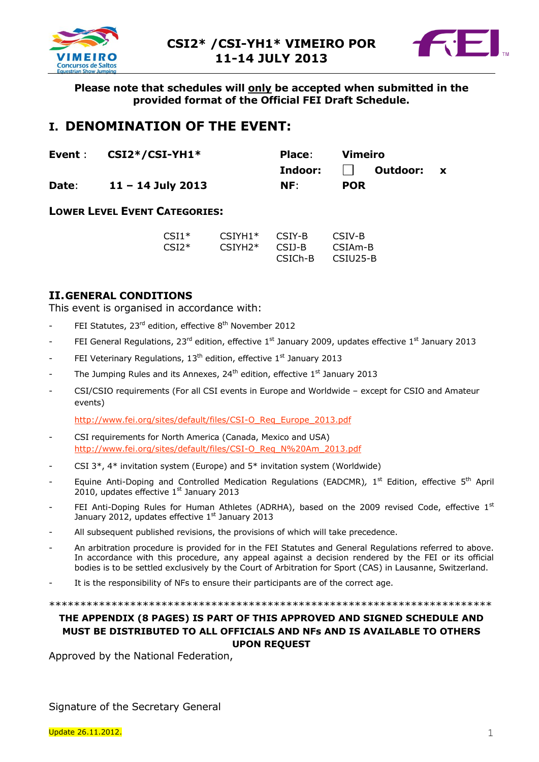



**Please note that schedules will only be accepted when submitted in the provided format of the Official FEI Draft Schedule.**

# **I. DENOMINATION OF THE EVENT:**

|       | Event $CSI2*/CSI-YH1*$ | <b>Place:</b> | Vimeiro                |  |
|-------|------------------------|---------------|------------------------|--|
|       |                        |               | Indoor:     Outdoor: x |  |
| Date: | $11 - 14$ July 2013    | NF:           | <b>POR</b>             |  |

# **LOWER LEVEL EVENT CATEGORIES:**

| $CSI1*$ | $CSTYH1*$ | CSIY-B               | CSIV-B               |
|---------|-----------|----------------------|----------------------|
| $CSI2*$ | $CSIYH2*$ | CSIJ-B               | CSIA <sub>m</sub> -B |
|         |           | CSIC <sub>h</sub> -B | CSIU25-B             |

# **II.GENERAL CONDITIONS**

This event is organised in accordance with:

- FEI Statutes, 23<sup>rd</sup> edition, effective 8<sup>th</sup> November 2012
- FEI General Regulations, 23<sup>rd</sup> edition, effective 1<sup>st</sup> January 2009, updates effective 1<sup>st</sup> January 2013
- FEI Veterinary Regulations, 13<sup>th</sup> edition, effective 1<sup>st</sup> January 2013
- The Jumping Rules and its Annexes, 24<sup>th</sup> edition, effective 1<sup>st</sup> January 2013
- CSI/CSIO requirements (For all CSI events in Europe and Worldwide except for CSIO and Amateur events)

[http://www.fei.org/sites/default/files/CSI-O\\_Req\\_Europe\\_2013.pdf](http://www.fei.org/sites/default/files/CSI-O_Req_Europe_2013.pdf)

- CSI requirements for North America (Canada, Mexico and USA) [http://www.fei.org/sites/default/files/CSI-O\\_Req\\_N%20Am\\_2013.pdf](http://www.fei.org/sites/default/files/CSI-O_Req_N%20Am_2013.pdf)
- CSI  $3^*$ ,  $4^*$  invitation system (Europe) and  $5^*$  invitation system (Worldwide)
- Equine Anti-Doping and Controlled Medication Regulations (EADCMR), 1<sup>st</sup> Edition, effective 5<sup>th</sup> April 2010, updates effective 1<sup>st</sup> January 2013
- FEI Anti-Doping Rules for Human Athletes (ADRHA), based on the 2009 revised Code, effective  $1<sup>st</sup>$ January 2012, updates effective  $1<sup>st</sup>$  January 2013
- All subsequent published revisions, the provisions of which will take precedence.
- An arbitration procedure is provided for in the FEI Statutes and General Regulations referred to above. In accordance with this procedure, any appeal against a decision rendered by the FEI or its official bodies is to be settled exclusively by the Court of Arbitration for Sport (CAS) in Lausanne, Switzerland.
- It is the responsibility of NFs to ensure their participants are of the correct age.

\*\*\*\*\*\*\*\*\*\*\*\*\*\*\*\*\*\*\*\*\*\*\*\*\*\*\*\*\*\*\*\*\*\*\*\*\*\*\*\*\*\*\*\*\*\*\*\*\*\*\*\*\*\*\*\*\*\*\*\*\*\*\*\*\*\*\*\*\*\*\*

#### **THE APPENDIX (8 PAGES) IS PART OF THIS APPROVED AND SIGNED SCHEDULE AND MUST BE DISTRIBUTED TO ALL OFFICIALS AND NFs AND IS AVAILABLE TO OTHERS UPON REQUEST**

Approved by the National Federation,

Signature of the Secretary General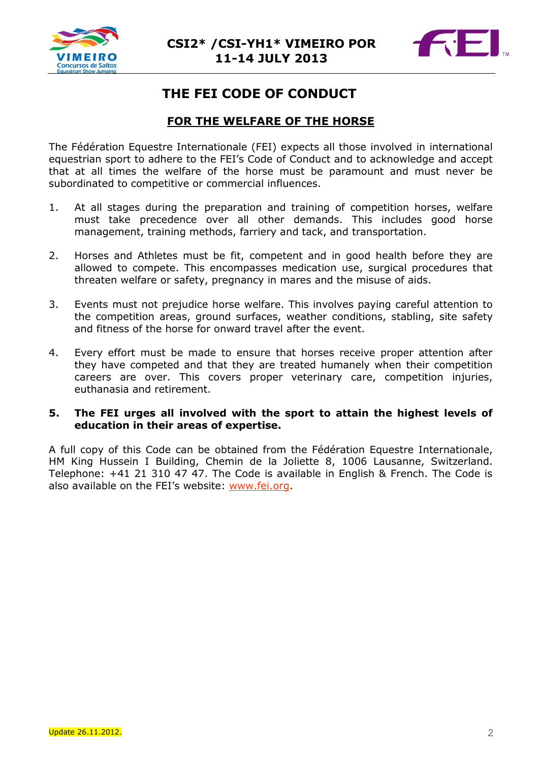



# **THE FEI CODE OF CONDUCT**

# **FOR THE WELFARE OF THE HORSE**

The Fédération Equestre Internationale (FEI) expects all those involved in international equestrian sport to adhere to the FEI's Code of Conduct and to acknowledge and accept that at all times the welfare of the horse must be paramount and must never be subordinated to competitive or commercial influences.

- 1. At all stages during the preparation and training of competition horses, welfare must take precedence over all other demands. This includes good horse management, training methods, farriery and tack, and transportation.
- 2. Horses and Athletes must be fit, competent and in good health before they are allowed to compete. This encompasses medication use, surgical procedures that threaten welfare or safety, pregnancy in mares and the misuse of aids.
- 3. Events must not prejudice horse welfare. This involves paying careful attention to the competition areas, ground surfaces, weather conditions, stabling, site safety and fitness of the horse for onward travel after the event.
- 4. Every effort must be made to ensure that horses receive proper attention after they have competed and that they are treated humanely when their competition careers are over. This covers proper veterinary care, competition injuries, euthanasia and retirement.

### **5. The FEI urges all involved with the sport to attain the highest levels of education in their areas of expertise.**

A full copy of this Code can be obtained from the Fédération Equestre Internationale, HM King Hussein I Building, Chemin de la Joliette 8, 1006 Lausanne, Switzerland. Telephone: +41 21 310 47 47. The Code is available in English & French. The Code is also available on the FEI's website: [www.fei.org.](http://www.fei.org/)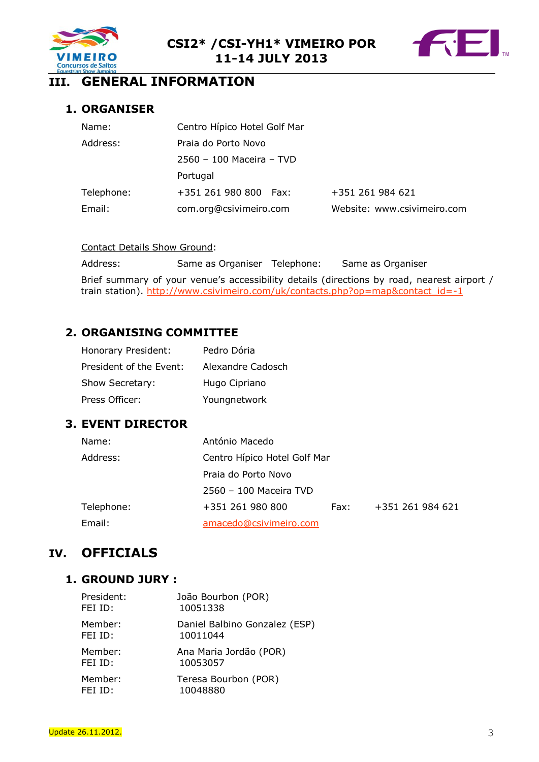



# **III. GENERAL INFORMATION**

# **1. ORGANISER**

| Name:      | Centro Hípico Hotel Golf Mar |                             |
|------------|------------------------------|-----------------------------|
| Address:   | Praia do Porto Novo          |                             |
|            | 2560 - 100 Maceira - TVD     |                             |
|            | Portugal                     |                             |
| Telephone: | +351 261 980 800 Fax:        | +351 261 984 621            |
| Email:     | com.org@csivimeiro.com       | Website: www.csivimeiro.com |

#### Contact Details Show Ground:

Address: Same as Organiser Telephone: Same as Organiser

Brief summary of your venue's accessibility details (directions by road, nearest airport / train station). [http://www.csivimeiro.com/uk/contacts.php?op=map&contact\\_id=-1](http://www.csivimeiro.com/uk/contacts.php?op=map&contact_id=-1)

# **2. ORGANISING COMMITTEE**

| Honorary President:     | Pedro Dória       |
|-------------------------|-------------------|
| President of the Event: | Alexandre Cadosch |
| Show Secretary:         | Hugo Cipriano     |
| Press Officer:          | Youngnetwork      |

# **3. EVENT DIRECTOR**

| Name:      | António Macedo               |      |                  |
|------------|------------------------------|------|------------------|
| Address:   | Centro Hípico Hotel Golf Mar |      |                  |
|            | Praia do Porto Novo          |      |                  |
|            | 2560 - 100 Maceira TVD       |      |                  |
| Telephone: | +351 261 980 800             | Fax: | +351 261 984 621 |
| Email:     | amacedo@csivimeiro.com       |      |                  |

# **IV. OFFICIALS**

# **1. GROUND JURY :**

| President: | João Bourbon (POR)            |
|------------|-------------------------------|
| FEI ID:    | 10051338                      |
| Member:    | Daniel Balbino Gonzalez (ESP) |
| FEI ID:    | 10011044                      |
| Member:    | Ana Maria Jordão (POR)        |
| FEI ID:    | 10053057                      |
| Member:    | Teresa Bourbon (POR)          |
| FEI ID:    | 10048880                      |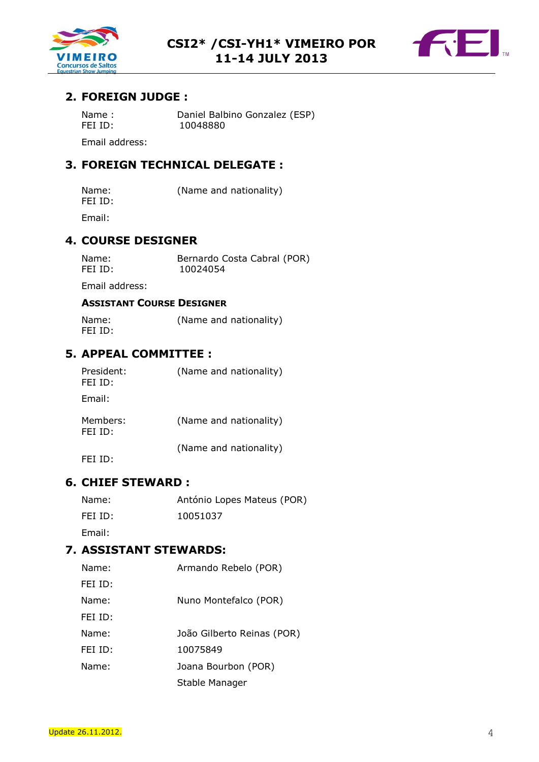



# **2. FOREIGN JUDGE :**

| Name:          | Daniel Balbino Gonzalez (ESP) |
|----------------|-------------------------------|
| FEI ID:        | 10048880                      |
| Email address: |                               |

# **3. FOREIGN TECHNICAL DELEGATE :**

| Name:   | (Name and nationality) |
|---------|------------------------|
| FEI ID: |                        |

Email:

### **4. COURSE DESIGNER**

| Name:   | Bernardo Costa Cabral (POR) |
|---------|-----------------------------|
| FEI ID: | 10024054                    |

Email address:

### **ASSISTANT COURSE DESIGNER**

Name: (Name and nationality) FEI ID:

# **5. APPEAL COMMITTEE :**

| President:<br>FEI ID: | (Name and nationality) |
|-----------------------|------------------------|
| Email:                |                        |
| Members:<br>FEI ID:   | (Name and nationality) |
|                       | (Name and nationality) |

FEI ID:

# **6. CHIEF STEWARD :**

| Name:   | António Lopes Mateus (POR) |
|---------|----------------------------|
| FEI ID: | 10051037                   |

Email:

# **7. ASSISTANT STEWARDS:**

| Name:   | Armando Rebelo (POR)       |
|---------|----------------------------|
| FEI ID: |                            |
| Name:   | Nuno Montefalco (POR)      |
| FEI ID: |                            |
| Name:   | João Gilberto Reinas (POR) |
| FEI ID: | 10075849                   |
| Name:   | Joana Bourbon (POR)        |
|         | Stable Manager             |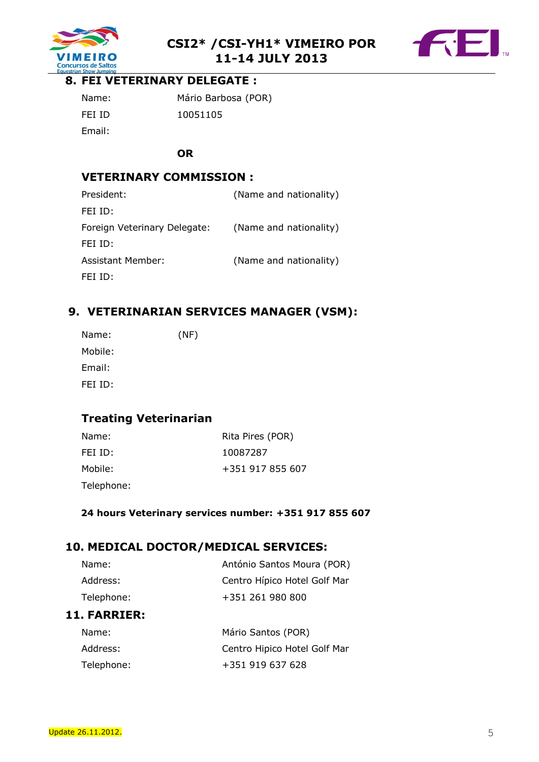



# **8. FEI VETERINARY DELEGATE :**

| Name:  | Mário Barbosa (POR) |
|--------|---------------------|
| FEI ID | 10051105            |
| Email: |                     |

### **OR**

# **VETERINARY COMMISSION :**

| (Name and nationality) |
|------------------------|
|                        |
| (Name and nationality) |
|                        |
| (Name and nationality) |
|                        |
|                        |

# **9. VETERINARIAN SERVICES MANAGER (VSM):**

| Name:   | (NF) |
|---------|------|
| Mobile: |      |
| Email:  |      |
| FEI ID: |      |
|         |      |

# **Treating Veterinarian**

| Name:   | Rita Pires (POR) |
|---------|------------------|
| FEI ID: | 10087287         |
| Mobile: | +351 917 855 607 |

Telephone:

#### **24 hours Veterinary services number: +351 917 855 607**

# **10. MEDICAL DOCTOR/MEDICAL SERVICES:**

| Name:               | Mário Santos (POR)           |  |  |
|---------------------|------------------------------|--|--|
| <b>11. FARRIER:</b> |                              |  |  |
| Telephone:          | +351 261 980 800             |  |  |
| Address:            | Centro Hípico Hotel Golf Mar |  |  |
| Name:               | António Santos Moura (POR)   |  |  |

| ivalile.   | <b>MAILO SAILOS (PUR)</b>    |
|------------|------------------------------|
| Address:   | Centro Hipico Hotel Golf Mar |
| Telephone: | +351 919 637 628             |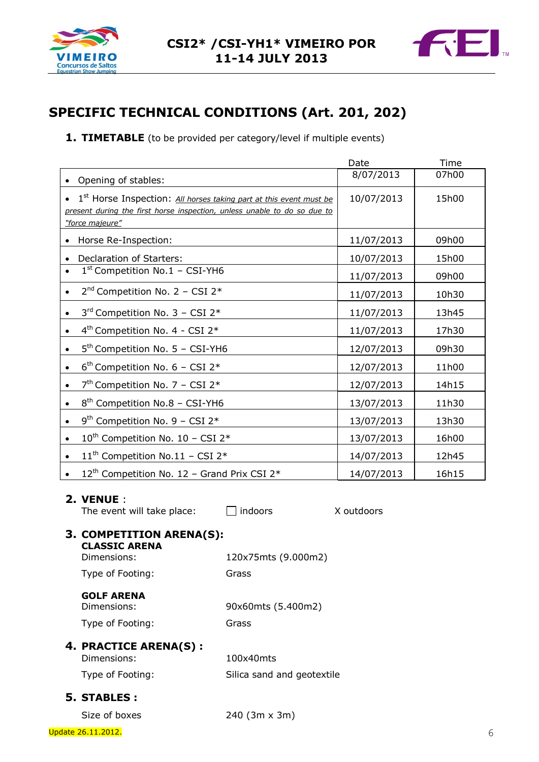



# **SPECIFIC TECHNICAL CONDITIONS (Art. 201, 202)**

**1. TIMETABLE** (to be provided per category/level if multiple events)

|                                                                                        |                            | Date       | Time  |
|----------------------------------------------------------------------------------------|----------------------------|------------|-------|
| Opening of stables:                                                                    |                            | 8/07/2013  | 07h00 |
| 1 <sup>st</sup> Horse Inspection: All horses taking part at this event must be         |                            | 10/07/2013 | 15h00 |
| present during the first horse inspection, unless unable to do so due to               |                            |            |       |
| "force majeure"                                                                        |                            |            |       |
| Horse Re-Inspection:                                                                   |                            | 11/07/2013 | 09h00 |
| Declaration of Starters:<br>$\bullet$<br>$1st$ Competition No.1 - CSI-YH6<br>$\bullet$ |                            | 10/07/2013 | 15h00 |
|                                                                                        |                            | 11/07/2013 | 09h00 |
| $2^{nd}$ Competition No. 2 - CSI 2*<br>$\bullet$                                       |                            | 11/07/2013 | 10h30 |
| $3^{rd}$ Competition No. 3 - CSI 2*<br>$\bullet$                                       |                            | 11/07/2013 | 13h45 |
| 4 <sup>th</sup> Competition No. 4 - CSI 2*<br>$\bullet$                                |                            | 11/07/2013 | 17h30 |
| $5th$ Competition No. 5 - CSI-YH6<br>$\bullet$                                         |                            | 12/07/2013 | 09h30 |
| $6th$ Competition No. 6 - CSI 2*<br>$\bullet$                                          |                            | 12/07/2013 | 11h00 |
| $7th$ Competition No. 7 – CSI 2 <sup>*</sup><br>$\bullet$                              |                            | 12/07/2013 | 14h15 |
| 8 <sup>th</sup> Competition No.8 - CSI-YH6<br>$\bullet$                                |                            | 13/07/2013 | 11h30 |
| $9th$ Competition No. 9 – CSI 2 <sup>*</sup><br>$\bullet$                              |                            | 13/07/2013 | 13h30 |
| 10 <sup>th</sup> Competition No. 10 - CSI 2*                                           |                            | 13/07/2013 | 16h00 |
| 11 <sup>th</sup> Competition No.11 - CSI 2 <sup>*</sup><br>$\bullet$                   |                            | 14/07/2013 | 12h45 |
| $12^{th}$ Competition No. 12 - Grand Prix CSI 2 <sup>*</sup>                           |                            | 14/07/2013 | 16h15 |
|                                                                                        |                            |            |       |
| 2. VENUE :<br>The event will take place:                                               | indoors                    | X outdoors |       |
| 3. COMPETITION ARENA(S):                                                               |                            |            |       |
| <b>CLASSIC ARENA</b><br>Dimensions:                                                    |                            |            |       |
|                                                                                        | 120x75mts (9.000m2)        |            |       |
| Type of Footing:                                                                       | Grass                      |            |       |
| <b>GOLF ARENA</b><br>Dimensions:                                                       | 90x60mts (5.400m2)         |            |       |
| Type of Footing:                                                                       | Grass                      |            |       |
| 4. PRACTICE ARENA(S):                                                                  |                            |            |       |
| Dimensions:                                                                            | 100x40mts                  |            |       |
| Type of Footing:                                                                       | Silica sand and geotextile |            |       |
| 5. STABLES :                                                                           |                            |            |       |

Size of boxes 240 (3m x 3m)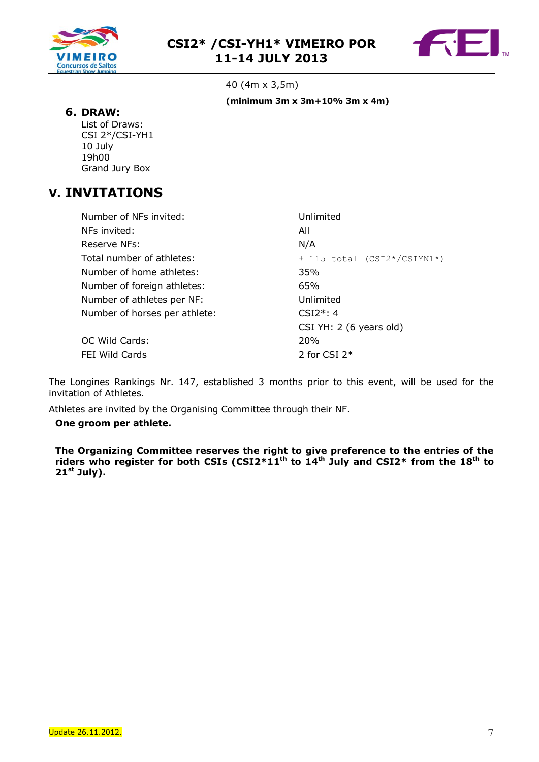



40 (4m x 3,5m) **(minimum 3m x 3m+10% 3m x 4m)**

#### **6. DRAW:**

List of Draws: CSI 2\*/CSI-YH1 10 July 19h00 Grand Jury Box

# **V. INVITATIONS**

| Number of NFs invited:        | Unlimited                       |
|-------------------------------|---------------------------------|
| NFs invited:                  | All                             |
| Reserve NFs:                  | N/A                             |
| Total number of athletes:     | $\pm$ 115 total (CSI2*/CSIYN1*) |
| Number of home athletes:      | 35%                             |
| Number of foreign athletes:   | 65%                             |
| Number of athletes per NF:    | Unlimited                       |
| Number of horses per athlete: | $CSI2^*: 4$                     |
|                               | CSI YH: 2 (6 years old)         |
| OC Wild Cards:                | <b>20%</b>                      |
| FEI Wild Cards                | 2 for CSI $2*$                  |

The Longines Rankings Nr. 147, established 3 months prior to this event, will be used for the invitation of Athletes.

Athletes are invited by the Organising Committee through their NF.

#### **One groom per athlete.**

**The Organizing Committee reserves the right to give preference to the entries of the riders who register for both CSIs (CSI2\*11 th to 14 th July and CSI2\* from the 18th to 21 st July).**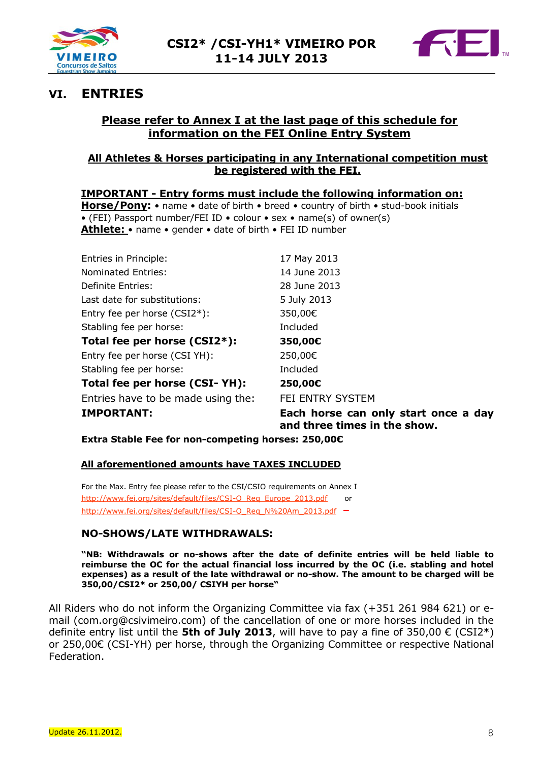



# **VI. ENTRIES**

# **Please refer to Annex I at the last page of this schedule for information on the FEI Online Entry System**

### **All Athletes & Horses participating in any International competition must be registered with the FEI.**

**IMPORTANT - Entry forms must include the following information on: Horse/Pony:** • name • date of birth • breed • country of birth • stud-book initials • (FEI) Passport number/FEI ID • colour • sex • name(s) of owner(s) **Athlete:** • name • gender • date of birth • FEI ID number

| <b>IMPORTANT:</b>                  | Each horse can o |
|------------------------------------|------------------|
| Entries have to be made using the: | FEI ENTRY SYSTEM |
| Total fee per horse (CSI-YH):      | 250,00€          |
| Stabling fee per horse:            | Included         |
| Entry fee per horse (CSI YH):      | 250,00€          |
| Total fee per horse (CSI2*):       | 350,00€          |
| Stabling fee per horse:            | Included         |
| Entry fee per horse (CSI2*):       | 350,00€          |
| Last date for substitutions:       | 5 July 2013      |
| Definite Entries:                  | 28 June 2013     |
| <b>Nominated Entries:</b>          | 14 June 2013     |
| Entries in Principle:              | 17 May 2013      |

**Redigerents** can only start once a day **and three times in the show.**

**Extra Stable Fee for non-competing horses: 250,00€**

#### **All aforementioned amounts have TAXES INCLUDED**

For the Max. Entry fee please refer to the CSI/CSIO requirements on Annex I [http://www.fei.org/sites/default/files/CSI-O\\_Req\\_Europe\\_2013.pdf](http://www.fei.org/sites/default/files/CSI-O_Req_Europe_2013.pdf) or [http://www.fei.org/sites/default/files/CSI-O\\_Req\\_N%20Am\\_2013.pdf](http://www.fei.org/sites/default/files/CSI-O_Req_N%20Am_2013.pdf) **–**

# **NO-SHOWS/LATE WITHDRAWALS:**

**"NB: Withdrawals or no-shows after the date of definite entries will be held liable to reimburse the OC for the actual financial loss incurred by the OC (i.e. stabling and hotel expenses) as a result of the late withdrawal or no-show. The amount to be charged will be 350,00/CSI2\* or 250,00/ CSIYH per horse"**

All Riders who do not inform the Organizing Committee via fax (+351 261 984 621) or email (com.org@csivimeiro.com) of the cancellation of one or more horses included in the definite entry list until the **5th of July 2013**, will have to pay a fine of 350,00  $\epsilon$  (CSI2<sup>\*</sup>) or 250,00€ (CSI-YH) per horse, through the Organizing Committee or respective National Federation.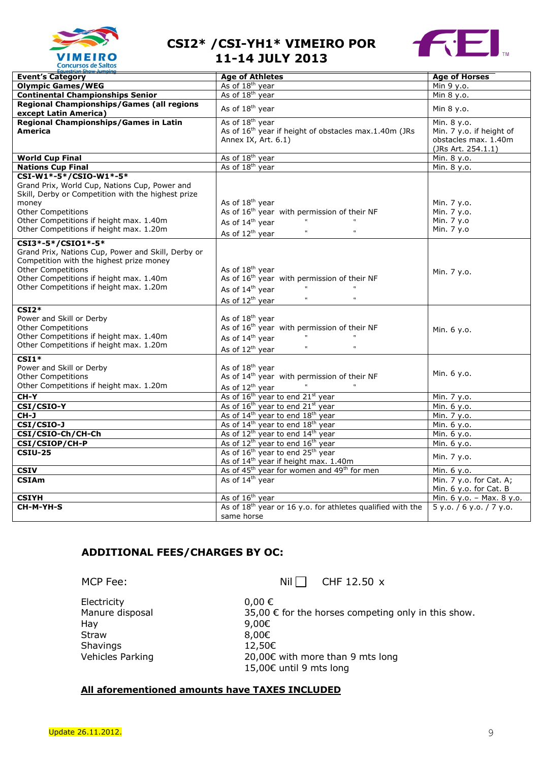



| uestrian Show Jumping                                                                                                                                                                                                                              |                                                                                                                                                                                                                    |                                                                                       |
|----------------------------------------------------------------------------------------------------------------------------------------------------------------------------------------------------------------------------------------------------|--------------------------------------------------------------------------------------------------------------------------------------------------------------------------------------------------------------------|---------------------------------------------------------------------------------------|
| <b>Event's Category</b>                                                                                                                                                                                                                            | <b>Age of Athletes</b>                                                                                                                                                                                             | <b>Age of Horses</b>                                                                  |
| <b>Olympic Games/WEG</b>                                                                                                                                                                                                                           | As of 18 <sup>th</sup> year                                                                                                                                                                                        | Min 9 y.o.                                                                            |
| <b>Continental Championships Senior</b>                                                                                                                                                                                                            | As of 18 <sup>th</sup> year                                                                                                                                                                                        | Min 8 y.o.                                                                            |
| <b>Regional Championships/Games (all regions</b><br>except Latin America)                                                                                                                                                                          | As of 18 <sup>th</sup> year                                                                                                                                                                                        | Min 8 y.o.                                                                            |
| Regional Championships/Games in Latin<br>America                                                                                                                                                                                                   | As of 18 <sup>th</sup> year<br>As of 16 <sup>th</sup> year if height of obstacles max.1.40m (JRs<br>Annex IX, Art. 6.1)                                                                                            | Min. 8 y.o.<br>Min. 7 y.o. if height of<br>obstacles max. 1.40m<br>(JRs Art. 254.1.1) |
| <b>World Cup Final</b>                                                                                                                                                                                                                             | As of 18 <sup>th</sup> year                                                                                                                                                                                        | Min. 8 y.o.                                                                           |
| <b>Nations Cup Final</b>                                                                                                                                                                                                                           | As of 18 <sup>th</sup> year                                                                                                                                                                                        | Min. 8 y.o.                                                                           |
| CSI-W1*-5*/CSIO-W1*-5*<br>Grand Prix, World Cup, Nations Cup, Power and<br>Skill, Derby or Competition with the highest prize<br>money<br>Other Competitions<br>Other Competitions if height max. 1.40m<br>Other Competitions if height max. 1.20m | As of 18 <sup>th</sup> year<br>As of 16 <sup>th</sup> year with permission of their NF<br>$\mathbf{u}$<br>As of 14 <sup>th</sup> year<br>$\boldsymbol{u}$<br>As of 12 <sup>th</sup> year<br>$\mathbf{t}\mathbf{t}$ | Min. 7 y.o.<br>Min. 7 y.o.<br>Min. 7 y.o<br>Min. 7 y.o                                |
| CSI3*-5*/CSI01*-5*<br>Grand Prix, Nations Cup, Power and Skill, Derby or<br>Competition with the highest prize money<br><b>Other Competitions</b><br>Other Competitions if height max. 1.40m<br>Other Competitions if height max. 1.20m            | As of 18 <sup>th</sup> year<br>As of 16 <sup>th</sup> year with permission of their NF<br>$\mathbf{t}\mathbf{t}$<br>As of 14 <sup>th</sup> year<br>$\mathbf{u}$<br>As of 12 <sup>th</sup> year                     | Min. 7 y.o.                                                                           |
| $CSI2*$<br>Power and Skill or Derby<br><b>Other Competitions</b><br>Other Competitions if height max. 1.40m<br>Other Competitions if height max. 1.20m                                                                                             | As of 18 <sup>th</sup> year<br>As of $16^{th}$ year with permission of their NF<br>$\mathfrak{m}$<br>$\mathbf{u}$<br>As of 14 <sup>th</sup> year<br>As of 12 <sup>th</sup> year<br>$\mathfrak{m}$                  | Min. 6 y.o.                                                                           |
| $CSI1*$<br>Power and Skill or Derby<br><b>Other Competitions</b><br>Other Competitions if height max. 1.20m                                                                                                                                        | As of 18 <sup>th</sup> year<br>As of 14 <sup>th</sup> year with permission of their NF<br>$\mathbf{t}\mathbf{t}$<br>As of $12^{th}$ year                                                                           | Min. 6 y.o.                                                                           |
| $CH-Y$                                                                                                                                                                                                                                             | As of 16 <sup>th</sup> year to end 21 <sup>st</sup> year                                                                                                                                                           | Min. 7 y.o.                                                                           |
| CSI/CSIO-Y                                                                                                                                                                                                                                         | As of 16 <sup>th</sup> year to end 21 <sup>st</sup> year                                                                                                                                                           | Min. 6 y.o.                                                                           |
| CH-J                                                                                                                                                                                                                                               | As of 14 <sup>th</sup> year to end 18 <sup>th</sup> year                                                                                                                                                           | Min. 7 y.o.                                                                           |
| <b>CSI/CSIO-J</b>                                                                                                                                                                                                                                  | As of 14 <sup>th</sup> year to end 18 <sup>th</sup> year                                                                                                                                                           | Min. 6 y.o.                                                                           |
| CSI/CSIO-Ch/CH-Ch                                                                                                                                                                                                                                  | As of 12 <sup>th</sup> year to end 14 <sup>th</sup> year                                                                                                                                                           | Min. 6 y.o.                                                                           |
| CSI/CSIOP/CH-P                                                                                                                                                                                                                                     | As of 12 <sup>th</sup> year to end 16 <sup>th</sup> year                                                                                                                                                           | Min. 6 y.o.                                                                           |
| $CSIU-25$                                                                                                                                                                                                                                          | As of 16 <sup>th</sup> year to end 25 <sup>th</sup> year<br>As of 14 <sup>th</sup> year if height max. 1.40m                                                                                                       | Min. 7 y.o.                                                                           |
| <b>CSIV</b>                                                                                                                                                                                                                                        | As of 45 <sup>th</sup> year for women and 49 <sup>th</sup> for men                                                                                                                                                 | Min. 6 y.o.                                                                           |
| <b>CSIAm</b>                                                                                                                                                                                                                                       | As of 14 <sup>th</sup> year                                                                                                                                                                                        | Min. 7 y.o. for Cat. A;<br>Min. 6 y.o. for Cat. B                                     |
| <b>CSIYH</b>                                                                                                                                                                                                                                       | As of 16 <sup>th</sup> year                                                                                                                                                                                        | Min. 6 y.o. - Max. 8 y.o.                                                             |
| CH-M-YH-S                                                                                                                                                                                                                                          | As of 18 <sup>th</sup> year or 16 y.o. for athletes qualified with the<br>same horse                                                                                                                               | 5 y.o. / 6 y.o. / 7 y.o.                                                              |

# **ADDITIONAL FEES/CHARGES BY OC:**

MCP Fee: NilCHF 12.50x

Electricity 0,00 € Hay 9,00€ Straw 8,00€ Shavings 12,50€

Manure disposal 35,00  $\epsilon$  for the horses competing only in this show. Vehicles Parking 20,00€ with more than 9 mts long 15,00€ until 9 mts long

#### **All aforementioned amounts have TAXES INCLUDED**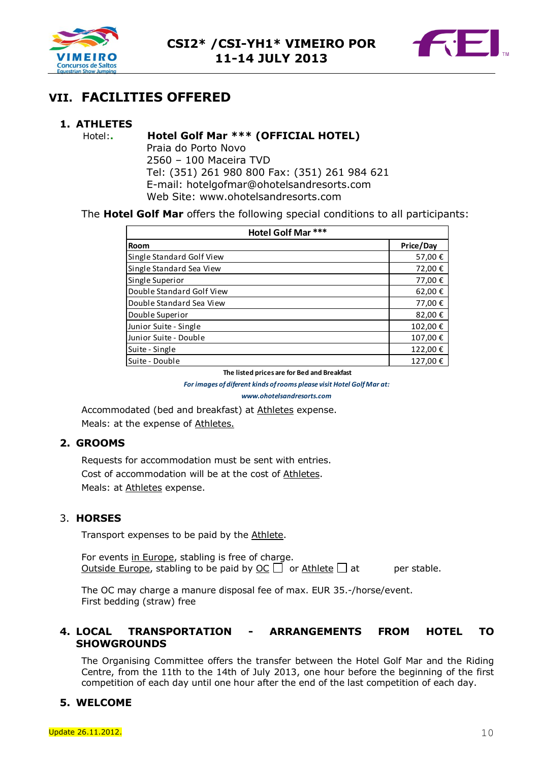



# **VII. FACILITIES OFFERED**

# **1. ATHLETES**

#### Hotel:**. Hotel Golf Mar \*\*\* (OFFICIAL HOTEL)**

Praia do Porto Novo 2560 – 100 Maceira TVD Tel: (351) 261 980 800 Fax: (351) 261 984 621 E-mail: hotelgofmar@ohotelsandresorts.com Web Site: www.ohotelsandresorts.com

The **Hotel Golf Mar** offers the following special conditions to all participants:

| Hotel Golf Mar ***                                                                                                                                                                                                                                       |                     |
|----------------------------------------------------------------------------------------------------------------------------------------------------------------------------------------------------------------------------------------------------------|---------------------|
| Room                                                                                                                                                                                                                                                     | Price/Day           |
| Single Standard Golf View                                                                                                                                                                                                                                | 57,00 €             |
| Single Standard Sea View                                                                                                                                                                                                                                 | 72,00 €             |
| Single Superior                                                                                                                                                                                                                                          | 77,00 €             |
| Double Standard Golf View                                                                                                                                                                                                                                | 62,00€              |
| Double Standard Sea View                                                                                                                                                                                                                                 | 77,00€              |
| Double Superior                                                                                                                                                                                                                                          | 82,00€              |
| Junior Suite - Single                                                                                                                                                                                                                                    | 102,00 €            |
| Junior Suite - Double                                                                                                                                                                                                                                    | 107,00 €            |
| Suite - Single                                                                                                                                                                                                                                           | 122,00 €            |
| Suite - Double                                                                                                                                                                                                                                           | 127,00 €            |
| The listed prices are for Bed and Breakfast                                                                                                                                                                                                              |                     |
| For images of diferent kinds of rooms please visit Hotel Golf Mar at:                                                                                                                                                                                    |                     |
| www.ohotelsandresorts.com                                                                                                                                                                                                                                |                     |
| Accommodated (bed and breakfast) at Athletes expense.                                                                                                                                                                                                    |                     |
| Meals: at the expense of Athletes.                                                                                                                                                                                                                       |                     |
| 2. GROOMS                                                                                                                                                                                                                                                |                     |
| Requests for accommodation must be sent with entries.                                                                                                                                                                                                    |                     |
| Cost of accommodation will be at the cost of Athletes.                                                                                                                                                                                                   |                     |
| Meals: at Athletes expense.                                                                                                                                                                                                                              |                     |
|                                                                                                                                                                                                                                                          |                     |
| 3. HORSES                                                                                                                                                                                                                                                |                     |
| Transport expenses to be paid by the Athlete.                                                                                                                                                                                                            |                     |
| For events in Europe, stabling is free of charge.                                                                                                                                                                                                        |                     |
| <u>Outside Europe</u> , stabling to be paid by $OC \Box$ or Athlete $\Box$ at                                                                                                                                                                            | per stable.         |
|                                                                                                                                                                                                                                                          |                     |
| The OC may charge a manure disposal fee of max. EUR 35.-/horse/event.<br>First bedding (straw) free                                                                                                                                                      |                     |
|                                                                                                                                                                                                                                                          |                     |
| 4. LOCAL<br><b>IRANSPORIAILON</b><br>ARRANGEMENIS                                                                                                                                                                                                        | <b>FROM</b><br>HO I |
| <b>SHOWGROUNDS</b>                                                                                                                                                                                                                                       |                     |
| The Organising Committee offers the transfer between the Hotel Golf Mar and t<br>Centre, from the 11th to the 14th of July 2013, one hour before the beginning of<br>competition of each day until one hour after the end of the last competition of eac |                     |
| 5. WELCOME                                                                                                                                                                                                                                               |                     |

# **2. GROOMS**

#### 3. **HORSES**

#### **4. LOCAL TRANSPORTATION - ARRANGEMENTS FROM HOTEL TO SHOWGROUNDS**

The Organising Committee offers the transfer between the Hotel Golf Mar and the Riding Centre, from the 11th to the 14th of July 2013, one hour before the beginning of the first competition of each day until one hour after the end of the last competition of each day.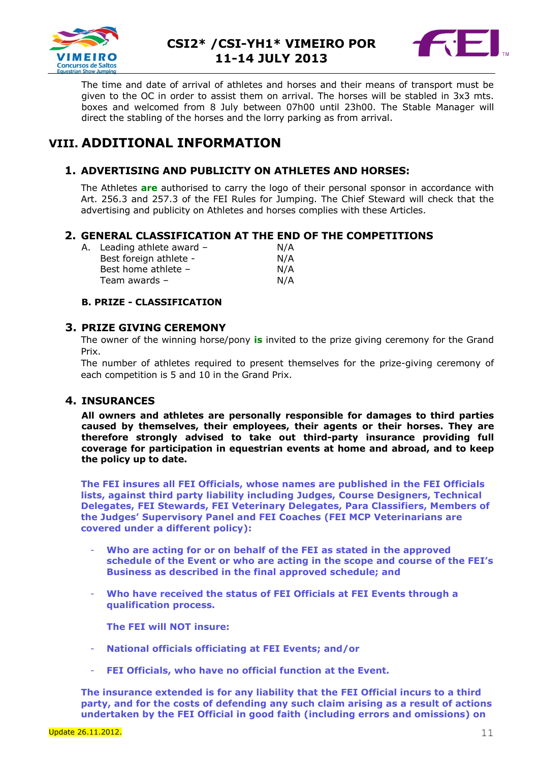



The time and date of arrival of athletes and horses and their means of transport must be given to the OC in order to assist them on arrival. The horses will be stabled in 3x3 mts. boxes and welcomed from 8 July between 07h00 until 23h00. The Stable Manager will direct the stabling of the horses and the lorry parking as from arrival.

# **VIII. ADDITIONAL INFORMATION**

# **1. ADVERTISING AND PUBLICITY ON ATHLETES AND HORSES:**

The Athletes **are** authorised to carry the logo of their personal sponsor in accordance with Art. 256.3 and 257.3 of the FEI Rules for Jumping. The Chief Steward will check that the advertising and publicity on Athletes and horses complies with these Articles.

### **2. GENERAL CLASSIFICATION AT THE END OF THE COMPETITIONS**

| A. Leading athlete award - | N/A |
|----------------------------|-----|
| Best foreign athlete -     | N/A |
| Best home athlete -        | N/A |
| Team awards -              | N/A |
|                            |     |

#### **B. PRIZE - CLASSIFICATION**

#### **3. PRIZE GIVING CEREMONY**

The owner of the winning horse/pony **is** invited to the prize giving ceremony for the Grand Prix.

The number of athletes required to present themselves for the prize-giving ceremony of each competition is 5 and 10 in the Grand Prix.

# **4. INSURANCES**

**All owners and athletes are personally responsible for damages to third parties caused by themselves, their employees, their agents or their horses. They are therefore strongly advised to take out third-party insurance providing full coverage for participation in equestrian events at home and abroad, and to keep the policy up to date.**

**The FEI insures all FEI Officials, whose names are published in the FEI Officials lists, against third party liability including Judges, Course Designers, Technical Delegates, FEI Stewards, FEI Veterinary Delegates, Para Classifiers, Members of the Judges' Supervisory Panel and FEI Coaches (FEI MCP Veterinarians are covered under a different policy):**

- **Who are acting for or on behalf of the FEI as stated in the approved schedule of the Event or who are acting in the scope and course of the FEI's Business as described in the final approved schedule; and**
- **Who have received the status of FEI Officials at FEI Events through a qualification process.**

**The FEI will NOT insure:**

- **National officials officiating at FEI Events; and/or**
- **FEI Officials, who have no official function at the Event.**

**The insurance extended is for any liability that the FEI Official incurs to a third party, and for the costs of defending any such claim arising as a result of actions undertaken by the FEI Official in good faith (including errors and omissions) on**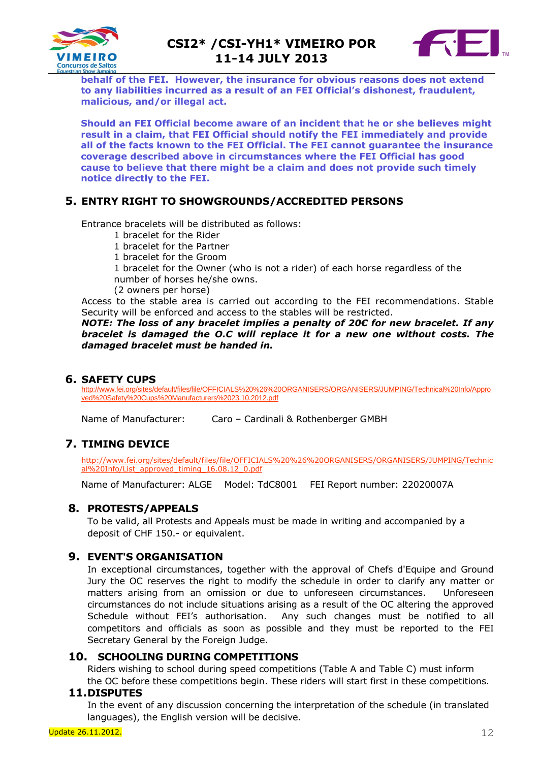



**behalf of the FEI. However, the insurance for obvious reasons does not extend to any liabilities incurred as a result of an FEI Official's dishonest, fraudulent, malicious, and/or illegal act.**

**Should an FEI Official become aware of an incident that he or she believes might result in a claim, that FEI Official should notify the FEI immediately and provide all of the facts known to the FEI Official. The FEI cannot guarantee the insurance coverage described above in circumstances where the FEI Official has good cause to believe that there might be a claim and does not provide such timely notice directly to the FEI.**

# **5. ENTRY RIGHT TO SHOWGROUNDS/ACCREDITED PERSONS**

Entrance bracelets will be distributed as follows:

- 1 bracelet for the Rider
- 1 bracelet for the Partner
- 1 bracelet for the Groom
- 1 bracelet for the Owner (who is not a rider) of each horse regardless of the number of horses he/she owns.
- (2 owners per horse)

Access to the stable area is carried out according to the FEI recommendations. Stable Security will be enforced and access to the stables will be restricted.

*NOTE: The loss of any bracelet implies a penalty of 20€ for new bracelet. If any bracelet is damaged the O.C will replace it for a new one without costs. The damaged bracelet must be handed in.*

#### **6. SAFETY CUPS**

[http://www.fei.org/sites/default/files/file/OFFICIALS%20%26%20ORGANISERS/ORGANISERS/JUMPING/Technical%20Info/Appro](http://www.fei.org/sites/default/files/file/OFFICIALS%20%26%20ORGANISERS/ORGANISERS/JUMPING/Technical%20Info/Approved%20Safety%20Cups%20Manufacturers%2023.10.2012.pdf) [ved%20Safety%20Cups%20Manufacturers%2023.10.2012.pdf](http://www.fei.org/sites/default/files/file/OFFICIALS%20%26%20ORGANISERS/ORGANISERS/JUMPING/Technical%20Info/Approved%20Safety%20Cups%20Manufacturers%2023.10.2012.pdf)

Name of Manufacturer: Caro – Cardinali & Rothenberger GMBH

#### **7. TIMING DEVICE**

[http://www.fei.org/sites/default/files/file/OFFICIALS%20%26%20ORGANISERS/ORGANISERS/JUMPING/Technic](http://www.fei.org/sites/default/files/file/OFFICIALS%20%26%20ORGANISERS/ORGANISERS/JUMPING/Technical%20Info/List_approved_timing_16.08.12_0.pdf) [al%20Info/List\\_approved\\_timing\\_16.08.12\\_0.pdf](http://www.fei.org/sites/default/files/file/OFFICIALS%20%26%20ORGANISERS/ORGANISERS/JUMPING/Technical%20Info/List_approved_timing_16.08.12_0.pdf)

Name of Manufacturer: ALGE Model: TdC8001 FEI Report number: 22020007A

#### **8. PROTESTS/APPEALS**

To be valid, all Protests and Appeals must be made in writing and accompanied by a deposit of CHF 150.- or equivalent.

#### **9. EVENT'S ORGANISATION**

In exceptional circumstances, together with the approval of Chefs d'Equipe and Ground Jury the OC reserves the right to modify the schedule in order to clarify any matter or matters arising from an omission or due to unforeseen circumstances. Unforeseen circumstances do not include situations arising as a result of the OC altering the approved Schedule without FEI's authorisation. Any such changes must be notified to all competitors and officials as soon as possible and they must be reported to the FEI Secretary General by the Foreign Judge.

#### **10. SCHOOLING DURING COMPETITIONS**

Riders wishing to school during speed competitions (Table A and Table C) must inform

the OC before these competitions begin. These riders will start first in these competitions. **11.DISPUTES** 

In the event of any discussion concerning the interpretation of the schedule (in translated languages), the English version will be decisive.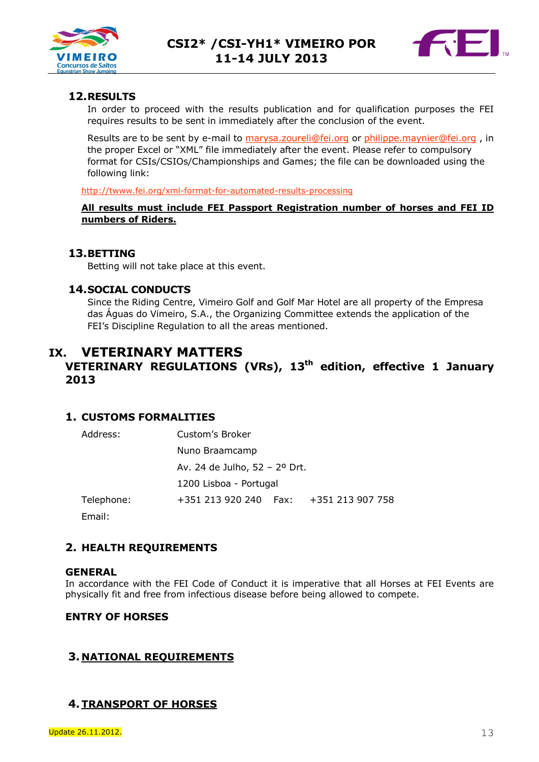



# **12.RESULTS**

In order to proceed with the results publication and for qualification purposes the FEI requires results to be sent in immediately after the conclusion of the event.

Results are to be sent by e-mail to [marysa.zoureli@fei.org](mailto:marysa.zoureli@fei.org) or [philippe.maynier@fei.org](mailto:philippe.maynier@fei.org), in the proper Excel or "XML" file immediately after the event. Please refer to compulsory format for CSIs/CSIOs/Championships and Games; the file can be downloaded using the following link:

#### <http://twww.fei.org/xml-format-for-automated-results-processing>

#### **All results must include FEI Passport Registration number of horses and FEI ID numbers of Riders.**

### **13.BETTING**

Betting will not take place at this event.

### **14.SOCIAL CONDUCTS**

Since the Riding Centre, Vimeiro Golf and Golf Mar Hotel are all property of the Empresa das Águas do Vimeiro, S.A., the Organizing Committee extends the application of the FEI's Discipline Regulation to all the areas mentioned.

# **IX. VETERINARY MATTERS**

# **VETERINARY REGULATIONS (VRs), 13th edition, effective 1 January 2013**

# **1. CUSTOMS FORMALITIES**

| Address:   | Custom's Broker               |        |                  |
|------------|-------------------------------|--------|------------------|
|            | Nuno Braamcamp                |        |                  |
|            | Av. 24 de Julho, 52 - 2º Drt. |        |                  |
|            | 1200 Lisboa - Portugal        |        |                  |
| Telephone: | +351 213 920 240              | - Fax: | +351 213 907 758 |
|            |                               |        |                  |

Email:

# **2. HEALTH REQUIREMENTS**

#### **GENERAL**

In accordance with the FEI Code of Conduct it is imperative that all Horses at FEI Events are physically fit and free from infectious disease before being allowed to compete.

# **ENTRY OF HORSES**

# **3. NATIONAL REQUIREMENTS**

# **4.TRANSPORT OF HORSES**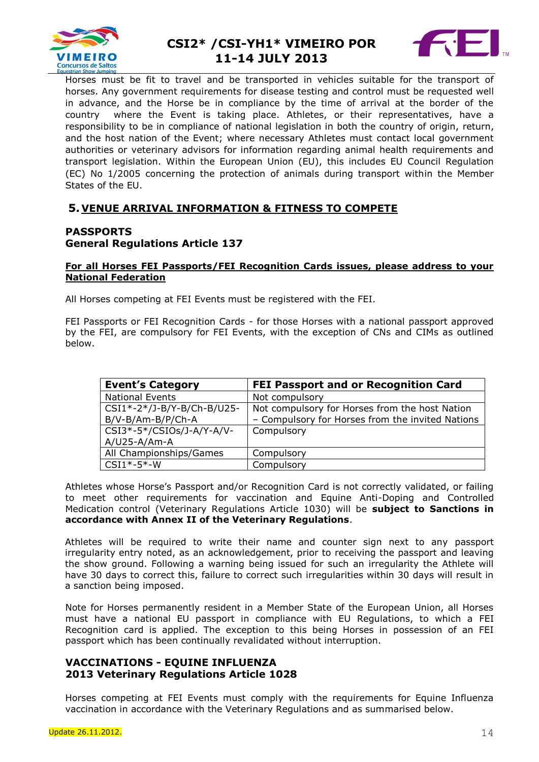



Horses must be fit to travel and be transported in vehicles suitable for the transport of horses. Any government requirements for disease testing and control must be requested well in advance, and the Horse be in compliance by the time of arrival at the border of the country where the Event is taking place. Athletes, or their representatives, have a responsibility to be in compliance of national legislation in both the country of origin, return, and the host nation of the Event; where necessary Athletes must contact local government authorities or veterinary advisors for information regarding animal health requirements and transport legislation. Within the European Union (EU), this includes EU Council Regulation (EC) No 1/2005 concerning the protection of animals during transport within the Member States of the EU.

### **5. VENUE ARRIVAL INFORMATION & FITNESS TO COMPETE**

# **PASSPORTS General Regulations Article 137**

#### **For all Horses FEI Passports/FEI Recognition Cards issues, please address to your National Federation**

All Horses competing at FEI Events must be registered with the FEI.

FEI Passports or FEI Recognition Cards - for those Horses with a national passport approved by the FEI, are compulsory for FEI Events, with the exception of CNs and CIMs as outlined below.

| <b>Event's Category</b>    | <b>FEI Passport and or Recognition Card</b>      |
|----------------------------|--------------------------------------------------|
| <b>National Events</b>     | Not compulsory                                   |
| CSI1*-2*/J-B/Y-B/Ch-B/U25- | Not compulsory for Horses from the host Nation   |
| B/V-B/Am-B/P/Ch-A          | - Compulsory for Horses from the invited Nations |
| CSI3*-5*/CSIOs/J-A/Y-A/V-  | Compulsory                                       |
| $A/U25-A/Am-A$             |                                                  |
| All Championships/Games    | Compulsory                                       |
| $CSI1*-5*-W$               | Compulsory                                       |

Athletes whose Horse's Passport and/or Recognition Card is not correctly validated, or failing to meet other requirements for vaccination and Equine Anti-Doping and Controlled Medication control (Veterinary Regulations Article 1030) will be **subject to Sanctions in accordance with Annex II of the Veterinary Regulations**.

Athletes will be required to write their name and counter sign next to any passport irregularity entry noted, as an acknowledgement, prior to receiving the passport and leaving the show ground. Following a warning being issued for such an irregularity the Athlete will have 30 days to correct this, failure to correct such irregularities within 30 days will result in a sanction being imposed.

Note for Horses permanently resident in a Member State of the European Union, all Horses must have a national EU passport in compliance with EU Regulations, to which a FEI Recognition card is applied. The exception to this being Horses in possession of an FEI passport which has been continually revalidated without interruption.

#### **VACCINATIONS - EQUINE INFLUENZA 2013 Veterinary Regulations Article 1028**

Horses competing at FEI Events must comply with the requirements for Equine Influenza vaccination in accordance with the Veterinary Regulations and as summarised below.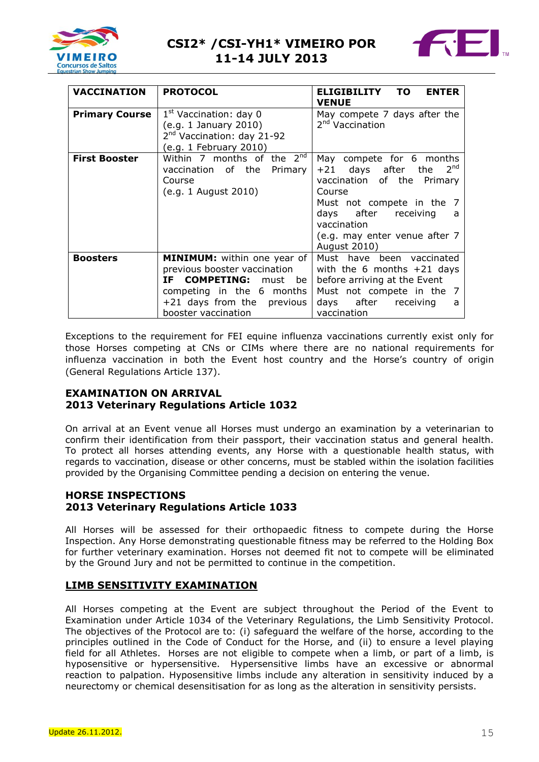



| <b>VACCINATION</b>    | <b>PROTOCOL</b>                                                                                                                                                                 | ELIGIBILITY TO<br><b>ENTER</b><br><b>VENUE</b>                                                                                                                                                                                        |
|-----------------------|---------------------------------------------------------------------------------------------------------------------------------------------------------------------------------|---------------------------------------------------------------------------------------------------------------------------------------------------------------------------------------------------------------------------------------|
| <b>Primary Course</b> | 1 <sup>st</sup> Vaccination: day 0<br>(e.g. 1 January 2010)<br>2 <sup>nd</sup> Vaccination: day 21-92<br>(e.g. 1 February 2010)                                                 | May compete 7 days after the<br>2 <sup>nd</sup> Vaccination                                                                                                                                                                           |
| <b>First Booster</b>  | Within 7 months of the $2^{nd}$<br>vaccination of the<br>Primary<br>Course<br>(e.g. 1 August 2010)                                                                              | May compete for 6 months<br>2 <sup>na</sup><br>$+21$ days after the<br>vaccination of the Primary<br>Course<br>Must not compete in the 7<br>days after receiving<br>a<br>vaccination<br>(e.g. may enter venue after 7<br>August 2010) |
| <b>Boosters</b>       | <b>MINIMUM:</b> within one year of<br>previous booster vaccination<br>IF COMPETING: must be<br>competing in the 6 months<br>$+21$ days from the previous<br>booster vaccination | Must have been vaccinated<br>with the 6 months $+21$ days<br>before arriving at the Event<br>Must not compete in the 7<br>days after receiving<br>a<br>vaccination                                                                    |

Exceptions to the requirement for FEI equine influenza vaccinations currently exist only for those Horses competing at CNs or CIMs where there are no national requirements for influenza vaccination in both the Event host country and the Horse's country of origin (General Regulations Article 137).

# **EXAMINATION ON ARRIVAL 2013 Veterinary Regulations Article 1032**

On arrival at an Event venue all Horses must undergo an examination by a veterinarian to confirm their identification from their passport, their vaccination status and general health. To protect all horses attending events, any Horse with a questionable health status, with regards to vaccination, disease or other concerns, must be stabled within the isolation facilities provided by the Organising Committee pending a decision on entering the venue.

# **HORSE INSPECTIONS 2013 Veterinary Regulations Article 1033**

All Horses will be assessed for their orthopaedic fitness to compete during the Horse Inspection. Any Horse demonstrating questionable fitness may be referred to the Holding Box for further veterinary examination. Horses not deemed fit not to compete will be eliminated by the Ground Jury and not be permitted to continue in the competition.

# **LIMB SENSITIVITY EXAMINATION**

All Horses competing at the Event are subject throughout the Period of the Event to Examination under Article 1034 of the Veterinary Regulations, the Limb Sensitivity Protocol. The objectives of the Protocol are to: (i) safeguard the welfare of the horse, according to the principles outlined in the Code of Conduct for the Horse, and (ii) to ensure a level playing field for all Athletes. Horses are not eligible to compete when a limb, or part of a limb, is hyposensitive or hypersensitive. Hypersensitive limbs have an excessive or abnormal reaction to palpation. Hyposensitive limbs include any alteration in sensitivity induced by a neurectomy or chemical desensitisation for as long as the alteration in sensitivity persists.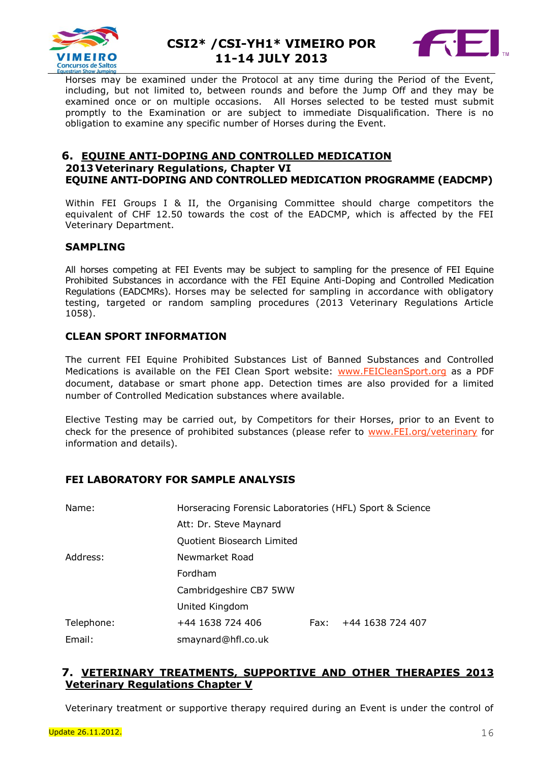



Horses may be examined under the Protocol at any time during the Period of the Event, including, but not limited to, between rounds and before the Jump Off and they may be examined once or on multiple occasions. All Horses selected to be tested must submit promptly to the Examination or are subject to immediate Disqualification. There is no obligation to examine any specific number of Horses during the Event.

### **6. EQUINE ANTI-DOPING AND CONTROLLED MEDICATION 2013 Veterinary Regulations, Chapter VI EQUINE ANTI-DOPING AND CONTROLLED MEDICATION PROGRAMME (EADCMP)**

Within FEI Groups I & II, the Organising Committee should charge competitors the equivalent of CHF 12.50 towards the cost of the EADCMP, which is affected by the FEI Veterinary Department.

#### **SAMPLING**

All horses competing at FEI Events may be subject to sampling for the presence of FEI Equine Prohibited Substances in accordance with the FEI Equine Anti-Doping and Controlled Medication Regulations (EADCMRs). Horses may be selected for sampling in accordance with obligatory testing, targeted or random sampling procedures (2013 Veterinary Regulations Article 1058).

# **CLEAN SPORT INFORMATION**

The current FEI Equine Prohibited Substances List of Banned Substances and Controlled Medications is available on the FEI Clean Sport website: [www.FEICleanSport.org](http://www.feicleansport.org/) as a PDF document, database or smart phone app. Detection times are also provided for a limited number of Controlled Medication substances where available.

Elective Testing may be carried out, by Competitors for their Horses, prior to an Event to check for the presence of prohibited substances (please refer to [www.FEI.org/veterinary](http://www.fei.org/veterinary) for information and details).

# **FEI LABORATORY FOR SAMPLE ANALYSIS**

| Name:      | Horseracing Forensic Laboratories (HFL) Sport & Science |      |                  |
|------------|---------------------------------------------------------|------|------------------|
|            | Att: Dr. Steve Maynard                                  |      |                  |
|            | Quotient Biosearch Limited                              |      |                  |
| Address:   | Newmarket Road                                          |      |                  |
|            | Fordham                                                 |      |                  |
|            | Cambridgeshire CB7 5WW                                  |      |                  |
|            | United Kingdom                                          |      |                  |
| Telephone: | +44 1638 724 406                                        | Fax: | +44 1638 724 407 |
| Email:     | smaynard@hfl.co.uk                                      |      |                  |

# **7. VETERINARY TREATMENTS, SUPPORTIVE AND OTHER THERAPIES 2013 Veterinary Regulations Chapter V**

Veterinary treatment or supportive therapy required during an Event is under the control of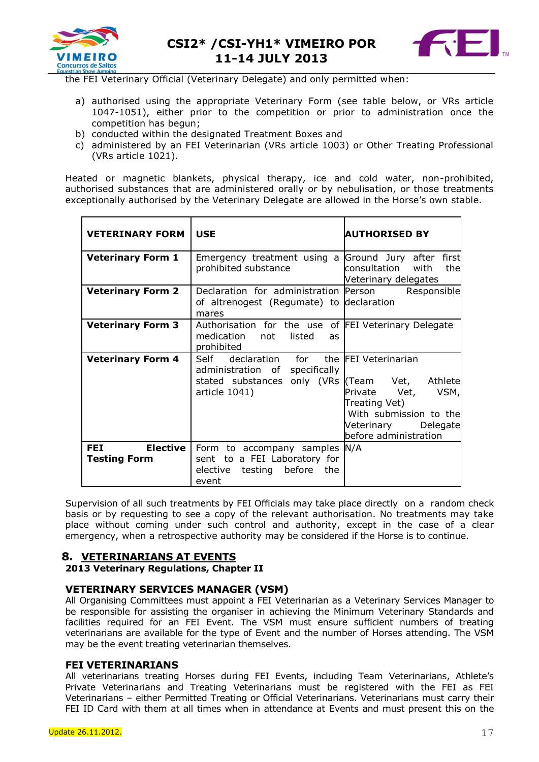



the FEI Veterinary Official (Veterinary Delegate) and only permitted when:

- a) authorised using the appropriate Veterinary Form (see table below, or VRs article 1047-1051), either prior to the competition or prior to administration once the competition has begun;
- b) conducted within the designated Treatment Boxes and
- c) administered by an FEI Veterinarian (VRs article 1003) or Other Treating Professional (VRs article 1021).

Heated or magnetic blankets, physical therapy, ice and cold water, non-prohibited, authorised substances that are administered orally or by nebulisation, or those treatments exceptionally authorised by the Veterinary Delegate are allowed in the Horse's own stable.

| <b>VETERINARY FORM</b>                               | <b>USE</b>                                                                                                                                     | <b>AUTHORISED BY</b>                                                                                         |
|------------------------------------------------------|------------------------------------------------------------------------------------------------------------------------------------------------|--------------------------------------------------------------------------------------------------------------|
| <b>Veterinary Form 1</b>                             | Emergency treatment using a Ground Jury after first<br>prohibited substance                                                                    | consultation<br>with<br>the<br>Veterinary delegates                                                          |
| <b>Veterinary Form 2</b>                             | Declaration for administration Person<br>of altrenogest (Regumate) to declaration<br>mares                                                     | Responsible                                                                                                  |
| <b>Veterinary Form 3</b>                             | Authorisation for the use of FEI Veterinary Delegate<br>medication not listed<br><b>as</b><br>prohibited                                       |                                                                                                              |
| <b>Veterinary Form 4</b>                             | Self declaration for the FEI Veterinarian<br>administration of specifically<br>stated substances only (VRs (Team Vet, Athlete<br>article 1041) | Private Vet, VSM,<br>Treating Vet)<br>With submission to the<br>Veterinary Delegate<br>before administration |
| <b>Elective</b><br><b>FEI</b><br><b>Testing Form</b> | Form to accompany samples N/A<br>sent to a FEI Laboratory for<br>elective<br>before<br>testing<br>the<br>event                                 |                                                                                                              |

Supervision of all such treatments by FEI Officials may take place directly on a random check basis or by requesting to see a copy of the relevant authorisation. No treatments may take place without coming under such control and authority, except in the case of a clear emergency, when a retrospective authority may be considered if the Horse is to continue.

# **8. VETERINARIANS AT EVENTS**

**2013 Veterinary Regulations, Chapter II**

# **VETERINARY SERVICES MANAGER (VSM)**

All Organising Committees must appoint a FEI Veterinarian as a Veterinary Services Manager to be responsible for assisting the organiser in achieving the Minimum Veterinary Standards and facilities required for an FEI Event. The VSM must ensure sufficient numbers of treating veterinarians are available for the type of Event and the number of Horses attending. The VSM may be the event treating veterinarian themselves.

#### **FEI VETERINARIANS**

All veterinarians treating Horses during FEI Events, including Team Veterinarians, Athlete's Private Veterinarians and Treating Veterinarians must be registered with the FEI as FEI Veterinarians – either Permitted Treating or Official Veterinarians. Veterinarians must carry their FEI ID Card with them at all times when in attendance at Events and must present this on the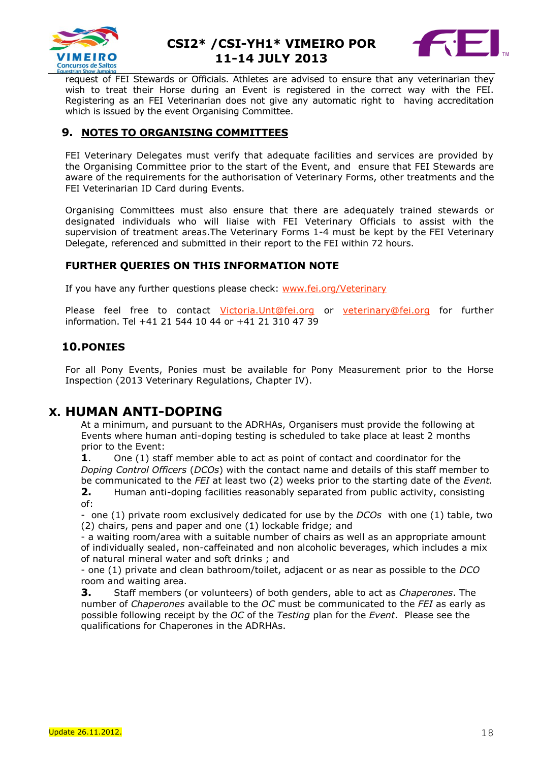



request of FEI Stewards or Officials. Athletes are advised to ensure that any veterinarian they wish to treat their Horse during an Event is registered in the correct way with the FEI. Registering as an FEI Veterinarian does not give any automatic right to having accreditation which is issued by the event Organising Committee.

# **9. NOTES TO ORGANISING COMMITTEES**

FEI Veterinary Delegates must verify that adequate facilities and services are provided by the Organising Committee prior to the start of the Event, and ensure that FEI Stewards are aware of the requirements for the authorisation of Veterinary Forms, other treatments and the FEI Veterinarian ID Card during Events.

Organising Committees must also ensure that there are adequately trained stewards or designated individuals who will liaise with FEI Veterinary Officials to assist with the supervision of treatment areas.The Veterinary Forms 1-4 must be kept by the FEI Veterinary Delegate, referenced and submitted in their report to the FEI within 72 hours.

### **FURTHER QUERIES ON THIS INFORMATION NOTE**

If you have any further questions please check: [www.fei.org/Veterinary](file://srvdcch01/san/old_windata/data/WINDATA/JUMPING/VEU/AppData/Local/Microsoft/Windows/Temporary%20Internet%20Files/Content.Outlook/1W63BF58/www.fei.org/Veterinary)

Please feel free to contact Victoria. Unt@fei.org or veterinary@fei.org for further information. Tel +41 21 544 10 44 or +41 21 310 47 39

# **10.PONIES**

For all Pony Events, Ponies must be available for Pony Measurement prior to the Horse Inspection (2013 Veterinary Regulations, Chapter IV).

# **X. HUMAN ANTI-DOPING**

At a minimum, and pursuant to the ADRHAs, Organisers must provide the following at Events where human anti-doping testing is scheduled to take place at least 2 months prior to the Event:

**1**. One (1) staff member able to act as point of contact and coordinator for the *Doping Control Officers* (*DCOs*) with the contact name and details of this staff member to be communicated to the *FEI* at least two (2) weeks prior to the starting date of the *Event.*

**2.** Human anti-doping facilities reasonably separated from public activity, consisting of:

- one (1) private room exclusively dedicated for use by the *DCOs* with one (1) table, two (2) chairs, pens and paper and one (1) lockable fridge; and

- a waiting room/area with a suitable number of chairs as well as an appropriate amount of individually sealed, non-caffeinated and non alcoholic beverages, which includes a mix of natural mineral water and soft drinks ; and

- one (1) private and clean bathroom/toilet, adjacent or as near as possible to the *DCO* room and waiting area.

**3.** Staff members (or volunteers) of both genders, able to act as *Chaperones*. The number of *Chaperones* available to the *OC* must be communicated to the *FEI* as early as possible following receipt by the *OC* of the *Testing* plan for the *Event*. Please see the qualifications for Chaperones in the ADRHAs.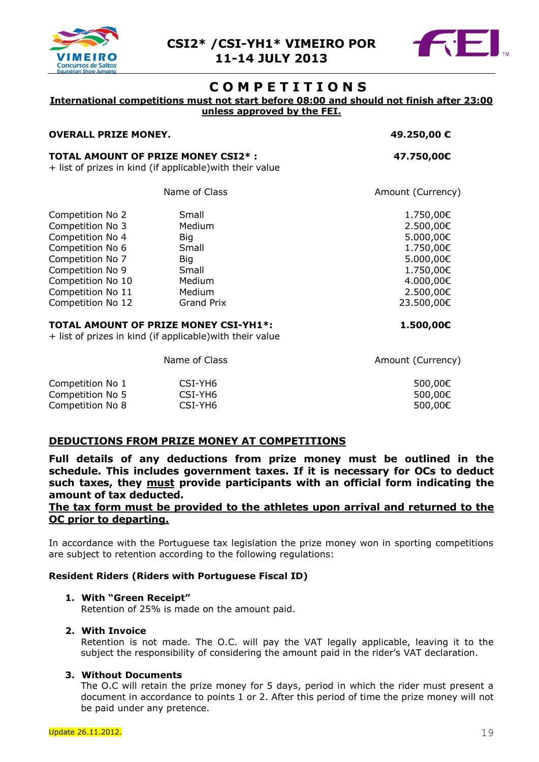



# **C O M P E T I T I O N S**

# **International competitions must not start before 08:00 and should not finish after 23:00**

**unless approved by the FEI.**

#### **OVERALL PRIZE MONEY. 49.250,00 €**

#### **TOTAL AMOUNT OF PRIZE MONEY CSI2\* : 47.750,00€**

+ list of prizes in kind (if applicable)with their value

Name of Class **Amount (Currency**)

| Competition No 2  | Small      | 1.750,00€  |
|-------------------|------------|------------|
| Competition No 3  | Medium     | 2.500,00€  |
| Competition No 4  | Big        | 5.000,00€  |
| Competition No 6  | Small      | 1.750,00€  |
| Competition No 7  | Big        | 5.000,00€  |
| Competition No 9  | Small      | 1.750,00€  |
| Competition No 10 | Medium     | 4.000,00€  |
| Competition No 11 | Medium     | 2.500,00€  |
| Competition No 12 | Grand Prix | 23.500,00€ |

#### **TOTAL AMOUNT OF PRIZE MONEY CSI-YH1\*: 1.500,00€**

+ list of prizes in kind (if applicable)with their value

Name of Class **Amount** (Currency)

| Competition No 1 | CSI-YH6 | 500,00€ |
|------------------|---------|---------|
| Competition No 5 | CSI-YH6 | 500,00€ |
| Competition No 8 | CSI-YH6 | 500,00€ |

# **DEDUCTIONS FROM PRIZE MONEY AT COMPETITIONS**

**Full details of any deductions from prize money must be outlined in the schedule. This includes government taxes. If it is necessary for OCs to deduct such taxes, they must provide participants with an official form indicating the amount of tax deducted.** 

#### **The tax form must be provided to the athletes upon arrival and returned to the OC prior to departing.**

In accordance with the Portuguese tax legislation the prize money won in sporting competitions are subject to retention according to the following regulations:

#### **Resident Riders (Riders with Portuguese Fiscal ID)**

#### **1. With "Green Receipt"**

Retention of 25% is made on the amount paid.

#### **2. With Invoice**

Retention is not made. The O.C. will pay the VAT legally applicable, leaving it to the subject the responsibility of considering the amount paid in the rider's VAT declaration.

#### **3. Without Documents**

The O.C will retain the prize money for 5 days, period in which the rider must present a document in accordance to points 1 or 2. After this period of time the prize money will not be paid under any pretence.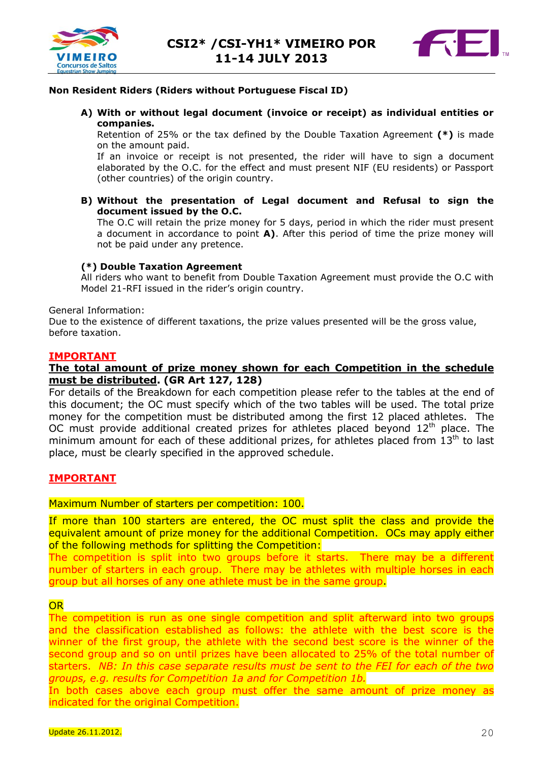



#### **Non Resident Riders (Riders without Portuguese Fiscal ID)**

**A) With or without legal document (invoice or receipt) as individual entities or companies.**

Retention of 25% or the tax defined by the Double Taxation Agreement **(\*)** is made on the amount paid.

If an invoice or receipt is not presented, the rider will have to sign a document elaborated by the O.C. for the effect and must present NIF (EU residents) or Passport (other countries) of the origin country.

**B) Without the presentation of Legal document and Refusal to sign the document issued by the O.C.**

The O.C will retain the prize money for 5 days, period in which the rider must present a document in accordance to point **A)**. After this period of time the prize money will not be paid under any pretence.

#### **(\*) Double Taxation Agreement**

All riders who want to benefit from Double Taxation Agreement must provide the O.C with Model 21-RFI issued in the rider's origin country.

General Information:

Due to the existence of different taxations, the prize values presented will be the gross value, before taxation.

#### **IMPORTANT**

#### **The total amount of prize money shown for each Competition in the schedule must be distributed. (GR Art 127, 128)**

For details of the Breakdown for each competition please refer to the tables at the end of this document; the OC must specify which of the two tables will be used. The total prize money for the competition must be distributed among the first 12 placed athletes. The OC must provide additional created prizes for athletes placed beyond  $12<sup>th</sup>$  place. The minimum amount for each of these additional prizes, for athletes placed from  $13<sup>th</sup>$  to last place, must be clearly specified in the approved schedule.

#### **IMPORTANT**

#### Maximum Number of starters per competition: 100.

If more than 100 starters are entered, the OC must split the class and provide the equivalent amount of prize money for the additional Competition. OCs may apply either of the following methods for splitting the Competition:

The competition is split into two groups before it starts. There may be a different number of starters in each group. There may be athletes with multiple horses in each group but all horses of any one athlete must be in the same group.

#### **OR**

The competition is run as one single competition and split afterward into two groups and the classification established as follows: the athlete with the best score is the winner of the first group, the athlete with the second best score is the winner of the second group and so on until prizes have been allocated to 25% of the total number of starters. *NB: In this case separate results must be sent to the FEI for each of the two groups, e.g. results for Competition 1a and for Competition 1b.*

In both cases above each group must offer the same amount of prize money as indicated for the original Competition.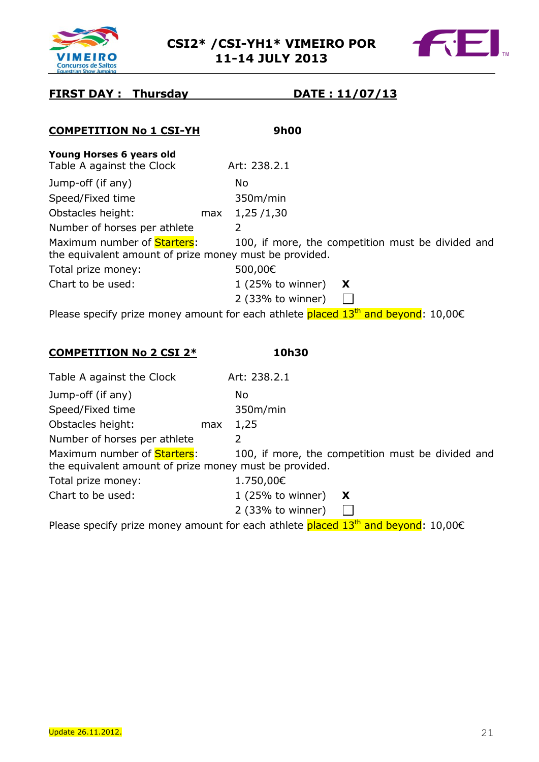



# **FIRST DAY : Thursday DATE : 11/07/13**

| <b>COMPETITION No 1 CSI-YH</b>                                                                | 9h00                                       |                                                   |
|-----------------------------------------------------------------------------------------------|--------------------------------------------|---------------------------------------------------|
| Young Horses 6 years old<br>Table A against the Clock                                         | Art: 238.2.1                               |                                                   |
| Jump-off (if any)                                                                             | No.                                        |                                                   |
| Speed/Fixed time                                                                              | 350m/min                                   |                                                   |
| Obstacles height:                                                                             | 1,25/1,30<br>max                           |                                                   |
| Number of horses per athlete                                                                  | 2                                          |                                                   |
| Maximum number of <b>Starters</b> :<br>the equivalent amount of prize money must be provided. |                                            | 100, if more, the competition must be divided and |
| Total prize money:                                                                            | 500,00€                                    |                                                   |
| Chart to be used:                                                                             | $1$ (25% to winner)<br>$2$ (33% to winner) | X                                                 |
| Please specify prize money amount for each athlete placed $13th$ and beyond: 10,00 $\epsilon$ |                                            |                                                   |
| <b>COMPETITION No 2 CSI 2*</b>                                                                | 10h30                                      |                                                   |
| Table A sesinct the Clock                                                                     | $\Lambda$ rt: 220 21                       |                                                   |

| Table A against the Clock                                                             | Art: 238.2.1                                      |
|---------------------------------------------------------------------------------------|---------------------------------------------------|
| Jump-off (if any)                                                                     | No.                                               |
| Speed/Fixed time                                                                      | 350m/min                                          |
| Obstacles height:<br>max                                                              | 1,25                                              |
| Number of horses per athlete                                                          | 2                                                 |
| Maximum number of Starters:<br>the equivalent amount of prize money must be provided. | 100, if more, the competition must be divided and |
| Total prize money:                                                                    | 1.750,00€                                         |
| Chart to be used:                                                                     | $1$ (25% to winner)<br>X                          |
|                                                                                       | 2 (33% to winner)                                 |

Please specify prize money amount for each athlete placed  $13<sup>th</sup>$  and beyond: 10,00 $\epsilon$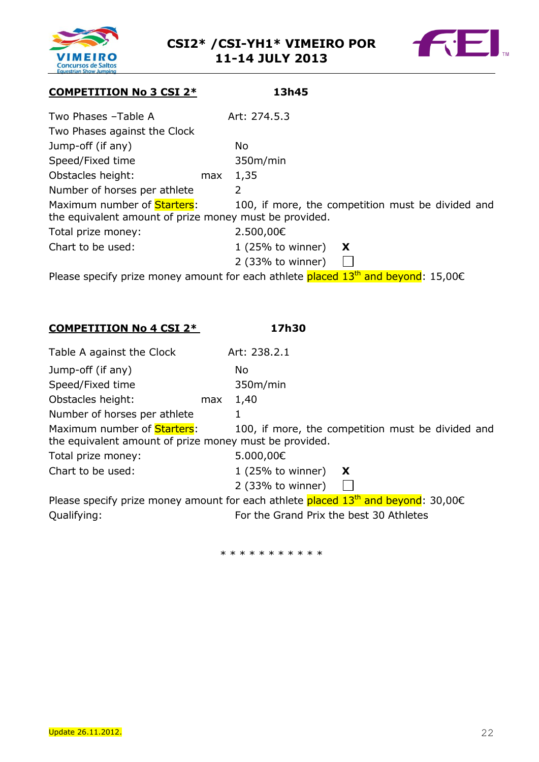



# **COMPETITION No 3 CSI 2\* 13h45**

| Two Phases -Table A                                    |     | Art: 274.5.3        |                                                   |
|--------------------------------------------------------|-----|---------------------|---------------------------------------------------|
|                                                        |     |                     |                                                   |
| Two Phases against the Clock                           |     |                     |                                                   |
| Jump-off (if any)                                      |     | No.                 |                                                   |
| Speed/Fixed time                                       |     | 350m/min            |                                                   |
| Obstacles height:                                      | max | 1,35                |                                                   |
| Number of horses per athlete                           |     | 2                   |                                                   |
| Maximum number of Starters:                            |     |                     | 100, if more, the competition must be divided and |
| the equivalent amount of prize money must be provided. |     |                     |                                                   |
| Total prize money:                                     |     | 2.500,00€           |                                                   |
| Chart to be used:                                      |     | 1(25% to winner)    | X                                                 |
|                                                        |     | $2$ (33% to winner) |                                                   |

Please specify prize money amount for each athlete  $placed 13<sup>th</sup>$  and beyond: 15,00 $\epsilon$ 

**COMPETITION No 4 CSI 2\* 17h30**

| Table A against the Clock                                                                    |     | Art: 238.2.1                                                                                  |
|----------------------------------------------------------------------------------------------|-----|-----------------------------------------------------------------------------------------------|
| Jump-off (if any)                                                                            |     | No.                                                                                           |
| Speed/Fixed time                                                                             |     | 350m/min                                                                                      |
| Obstacles height:                                                                            | max | 1,40                                                                                          |
| Number of horses per athlete                                                                 |     |                                                                                               |
| Maximum number of <b>Starters:</b><br>the equivalent amount of prize money must be provided. |     | 100, if more, the competition must be divided and                                             |
| Total prize money:                                                                           |     | 5.000,00€                                                                                     |
| Chart to be used:                                                                            |     | $1(25%$ to winner)<br>X                                                                       |
|                                                                                              |     | 2 (33% to winner)                                                                             |
|                                                                                              |     | Please specify prize money amount for each athlete placed $13th$ and beyond: 30,00 $\epsilon$ |
| Qualifying:                                                                                  |     | For the Grand Prix the best 30 Athletes                                                       |

\* \* \* \* \* \* \* \* \* \*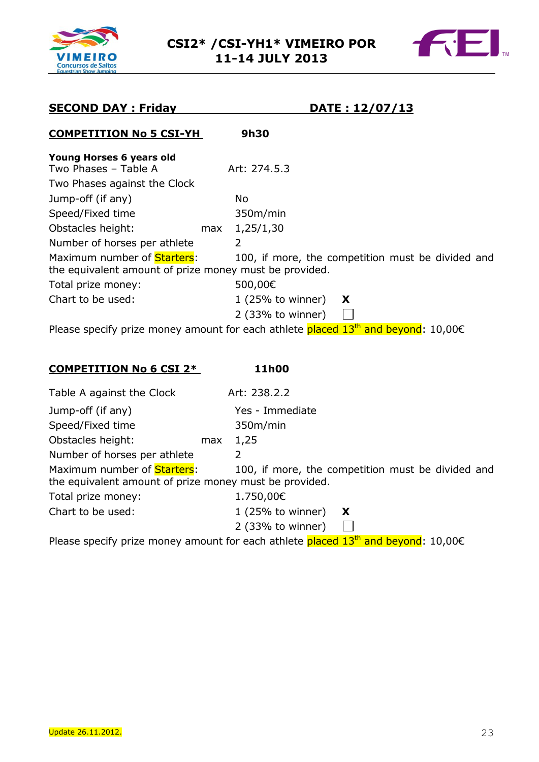



# **SECOND DAY : Friday DATE : 12/07/13**

# **COMPETITION No 5 CSI-YH 9h30**

| Young Horses 6 years old                                                                     |     |                                                                                               |
|----------------------------------------------------------------------------------------------|-----|-----------------------------------------------------------------------------------------------|
| Two Phases - Table A                                                                         |     | Art: 274.5.3                                                                                  |
| Two Phases against the Clock                                                                 |     |                                                                                               |
| Jump-off (if any)                                                                            |     | No                                                                                            |
| Speed/Fixed time                                                                             |     | 350m/min                                                                                      |
| Obstacles height:                                                                            | max | 1,25/1,30                                                                                     |
| Number of horses per athlete                                                                 |     | 2                                                                                             |
| Maximum number of <b>Starters:</b><br>the equivalent amount of prize money must be provided. |     | 100, if more, the competition must be divided and                                             |
| Total prize money:                                                                           |     | 500,00€                                                                                       |
| Chart to be used:                                                                            |     | $1(25%$ to winner)<br>X                                                                       |
|                                                                                              |     | 2 (33% to winner)                                                                             |
|                                                                                              |     | Please specify prize money amount for each athlete placed $13th$ and beyond: 10,00 $\epsilon$ |

### **COMPETITION No 6 CSI 2\* 11h00**

| Table A against the Clock                                                                     |     | Art: 238.2.2      |                                                   |
|-----------------------------------------------------------------------------------------------|-----|-------------------|---------------------------------------------------|
| Jump-off (if any)                                                                             |     | Yes - Immediate   |                                                   |
| Speed/Fixed time                                                                              |     | 350m/min          |                                                   |
| Obstacles height:                                                                             | max | 1,25              |                                                   |
| Number of horses per athlete                                                                  |     | 2                 |                                                   |
| Maximum number of <b>Starters</b> :<br>the equivalent amount of prize money must be provided. |     |                   | 100, if more, the competition must be divided and |
| Total prize money:                                                                            |     | 1.750,00€         |                                                   |
| Chart to be used:                                                                             |     | 1 (25% to winner) | X                                                 |
|                                                                                               |     | 2 (33% to winner) |                                                   |

Please specify prize money amount for each athlete  $placed 13<sup>th</sup>$  and beyond: 10,00 $\epsilon$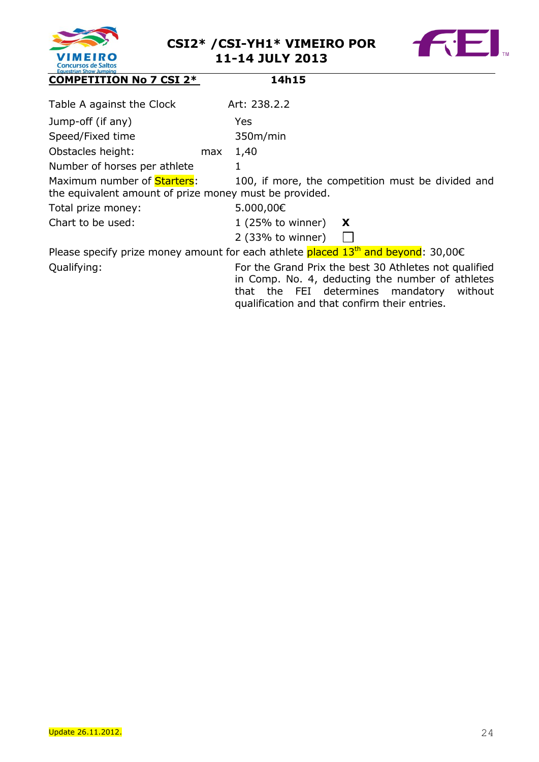



| <b>EQUESTION SHOW JUNIOR</b><br><b>COMPETITION No 7 CSI 2*</b>                                | 14h15                                                                                                                                                                                                      |
|-----------------------------------------------------------------------------------------------|------------------------------------------------------------------------------------------------------------------------------------------------------------------------------------------------------------|
| Table A against the Clock                                                                     | Art: 238.2.2                                                                                                                                                                                               |
| Jump-off (if any)                                                                             | Yes                                                                                                                                                                                                        |
| Speed/Fixed time                                                                              | 350m/min                                                                                                                                                                                                   |
| Obstacles height:<br>max                                                                      | 1,40                                                                                                                                                                                                       |
| Number of horses per athlete                                                                  | 1                                                                                                                                                                                                          |
| Maximum number of <b>Starters</b> :<br>the equivalent amount of prize money must be provided. | 100, if more, the competition must be divided and                                                                                                                                                          |
| Total prize money:                                                                            | 5.000,00€                                                                                                                                                                                                  |
| Chart to be used:                                                                             | $1$ (25% to winner)<br>X                                                                                                                                                                                   |
|                                                                                               | 2 (33% to winner)                                                                                                                                                                                          |
|                                                                                               | Please specify prize money amount for each athlete placed $13th$ and beyond: 30,00 $\epsilon$                                                                                                              |
| Qualifying:                                                                                   | For the Grand Prix the best 30 Athletes not qualified<br>in Comp. No. 4, deducting the number of athletes<br>that the FEI determines mandatory<br>without<br>qualification and that confirm their entries. |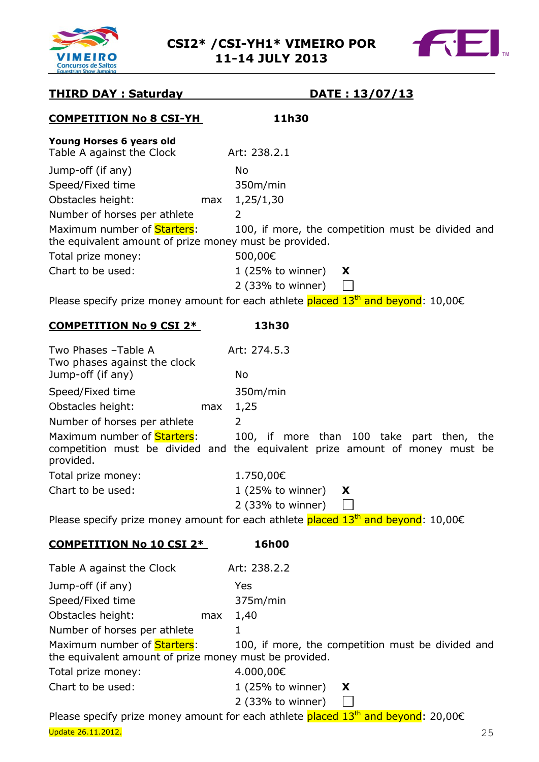



# **THIRD DAY : Saturday DATE : 13/07/13**

# **COMPETITION No 8 CSI-YH 11h30 Young Horses 6 years old** Table A against the Clock Art: 238.2.1 Jump-off (if any) No Speed/Fixed time 350m/min Obstacles height: max 1,25/1,30 Number of horses per athlete 2 Maximum number of **Starters:** 100, if more, the competition must be divided and the equivalent amount of prize money must be provided. Total prize money: 500,00€ Chart to be used: 1 (25% to winner) **X** 2 (33% to winner)  $\mathbb{R}^n$ Please specify prize money amount for each athlete placed  $13<sup>th</sup>$  and beyond: 10,00 $\epsilon$ **COMPETITION No 9 CSI 2\* 13h30** Two Phases –Table A Art: 274.5.3 Two phases against the clock Jump-off (if any) No Speed/Fixed time 350m/min Obstacles height: max 1,25 Number of horses per athlete 2 Maximum number of **Starters:** 100, if more than 100 take part then, the competition must be divided and the equivalent prize amount of money must be provided. Total prize money: 1.750,00€ Chart to be used: 1 (25% to winner) **X**  $\Box$ 2 (33% to winner) Please specify prize money amount for each athlete placed  $13<sup>th</sup>$  and beyond: 10,00 $\epsilon$ **COMPETITION No 10 CSI 2\* 16h00** Table A against the Clock Art: 238.2.2

| Table A agailist the Cluck                                                                   |     | ALL. 200.2.2                                      |
|----------------------------------------------------------------------------------------------|-----|---------------------------------------------------|
| Jump-off (if any)                                                                            |     | Yes                                               |
| Speed/Fixed time                                                                             |     | 375m/min                                          |
| Obstacles height:                                                                            | max | 1,40                                              |
| Number of horses per athlete                                                                 |     |                                                   |
| Maximum number of <b>Starters:</b><br>the equivalent amount of prize money must be provided. |     | 100, if more, the competition must be divided and |
| Total prize money:                                                                           |     | 4.000,00€                                         |
| Chart to be used:                                                                            |     | $1(25%$ to winner)<br>X                           |
|                                                                                              |     | $2$ (33% to winner)                               |

**Update 26.11.2012.** 25 Please specify prize money amount for each athlete placed  $13<sup>th</sup>$  and beyond: 20,00 $\epsilon$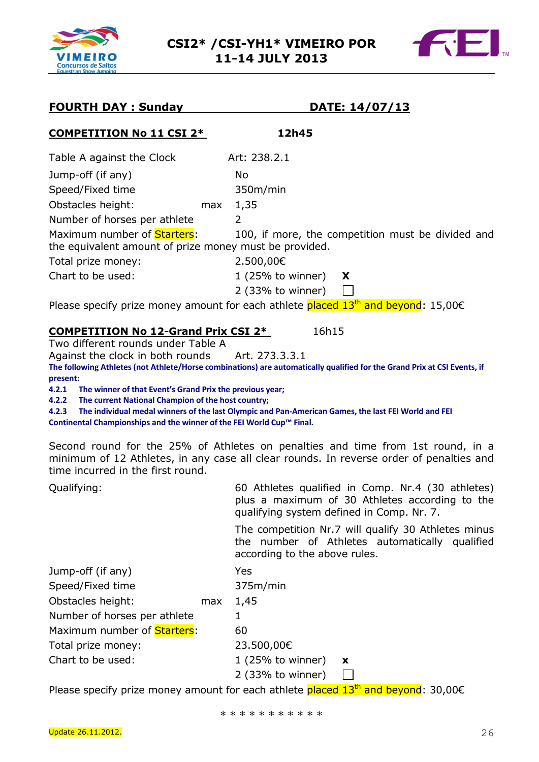



| <b>FOURTH DAY: Sunday</b>                                                      | <u>DATE: 14/07/13</u>                                                                                                                                                      |
|--------------------------------------------------------------------------------|----------------------------------------------------------------------------------------------------------------------------------------------------------------------------|
| <b>COMPETITION No 11 CSI 2*</b>                                                | 12h45                                                                                                                                                                      |
| Table A against the Clock                                                      | Art: 238.2.1                                                                                                                                                               |
| Jump-off (if any)                                                              | No                                                                                                                                                                         |
| Speed/Fixed time                                                               | 350m/min                                                                                                                                                                   |
| Obstacles height:<br>max                                                       | 1,35                                                                                                                                                                       |
| Number of horses per athlete                                                   | $\overline{2}$                                                                                                                                                             |
| Maximum number of <b>Starters:</b>                                             | 100, if more, the competition must be divided and                                                                                                                          |
| the equivalent amount of prize money must be provided.                         |                                                                                                                                                                            |
| Total prize money:                                                             | 2.500,00€                                                                                                                                                                  |
| Chart to be used:                                                              | $1(25%$ to winner)<br>X                                                                                                                                                    |
|                                                                                | $2$ (33% to winner)<br>$\mathbb{R}^n$                                                                                                                                      |
|                                                                                | Please specify prize money amount for each athlete placed 13 <sup>th</sup> and beyond: 15,00€                                                                              |
| <b>COMPETITION No 12-Grand Prix CSI 2*</b>                                     | 16h15                                                                                                                                                                      |
| Two different rounds under Table A                                             |                                                                                                                                                                            |
| Against the clock in both rounds                                               | Art. 273.3.3.1                                                                                                                                                             |
| present:                                                                       | The following Athletes (not Athlete/Horse combinations) are automatically qualified for the Grand Prix at CSI Events, if                                                   |
| 4.2.1<br>The winner of that Event's Grand Prix the previous year;              |                                                                                                                                                                            |
| 4.2.2<br>The current National Champion of the host country;                    |                                                                                                                                                                            |
| 4.2.3<br>Continental Championships and the winner of the FEI World Cup™ Final. | The individual medal winners of the last Olympic and Pan-American Games, the last FEI World and FEI                                                                        |
|                                                                                |                                                                                                                                                                            |
| time incurred in the first round.                                              | Second round for the 25% of Athletes on penalties and time from 1st round, in a<br>minimum of 12 Athletes, in any case all clear rounds. In reverse order of penalties and |
| Qualifying:                                                                    | 60 Athletes qualified in Comp. Nr.4 (30 athletes)                                                                                                                          |
|                                                                                | plus a maximum of 30 Athletes according to the<br>qualifying system defined in Comp. Nr. 7.                                                                                |
|                                                                                | The competition Nr.7 will qualify 30 Athletes minus<br>the number of Athletes automatically qualified<br>according to the above rules.                                     |
| Jump-off (if any)                                                              | Yes                                                                                                                                                                        |
| Speed/Fixed time                                                               | 375m/min                                                                                                                                                                   |
| Obstacles height:<br>max                                                       | 1,45                                                                                                                                                                       |
| Number of horses per athlete                                                   | 1                                                                                                                                                                          |
| Maximum number of Starters:                                                    | 60                                                                                                                                                                         |
| Total prize money:                                                             | 23.500,00€                                                                                                                                                                 |
| Chart to be used:                                                              | $1$ (25% to winner)<br>x                                                                                                                                                   |
|                                                                                | 2 (33% to winner)                                                                                                                                                          |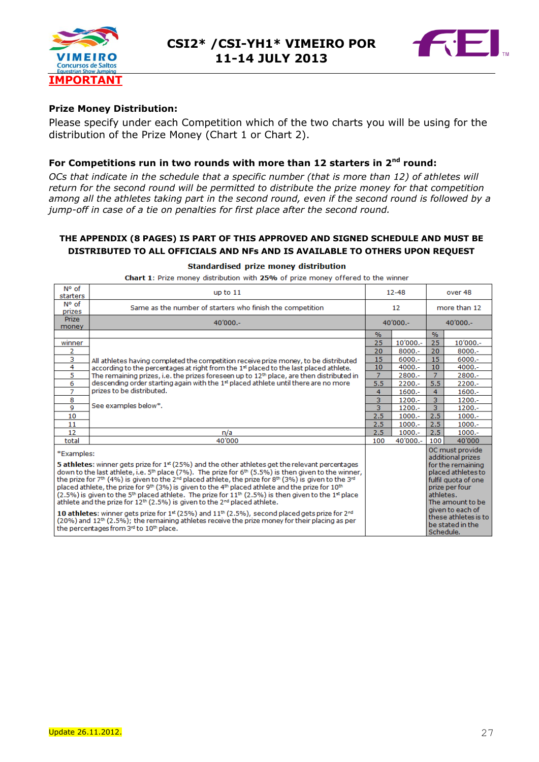



#### **Prize Money Distribution:**

Please specify under each Competition which of the two charts you will be using for the distribution of the Prize Money (Chart 1 or Chart 2).

#### **For Competitions run in two rounds with more than 12 starters in 2nd round:**

*OCs that indicate in the schedule that a specific number (that is more than 12) of athletes will return for the second round will be permitted to distribute the prize money for that competition among all the athletes taking part in the second round, even if the second round is followed by a*  jump-off in case of a tie on penalties for first place after the second round.

#### **THE APPENDIX (8 PAGES) IS PART OF THIS APPROVED AND SIGNED SCHEDULE AND MUST BE DISTRIBUTED TO ALL OFFICIALS AND NFs AND IS AVAILABLE TO OTHERS UPON REQUEST**

#### Standardised prize money distribution

| N° of<br>starters                                                                                                                                                                                                                                                             | up to $11$                                                                                                                                                                                                                                                                                                                                                                                                                                                                                                                                                                                                                                                                                                                                     | $12 - 48$                                                                                                         |           | over 48        |                                                              |  |
|-------------------------------------------------------------------------------------------------------------------------------------------------------------------------------------------------------------------------------------------------------------------------------|------------------------------------------------------------------------------------------------------------------------------------------------------------------------------------------------------------------------------------------------------------------------------------------------------------------------------------------------------------------------------------------------------------------------------------------------------------------------------------------------------------------------------------------------------------------------------------------------------------------------------------------------------------------------------------------------------------------------------------------------|-------------------------------------------------------------------------------------------------------------------|-----------|----------------|--------------------------------------------------------------|--|
| N° of<br>prizes                                                                                                                                                                                                                                                               | Same as the number of starters who finish the competition                                                                                                                                                                                                                                                                                                                                                                                                                                                                                                                                                                                                                                                                                      | 12                                                                                                                |           | more than 12   |                                                              |  |
| <b>Prize</b><br>money                                                                                                                                                                                                                                                         | $40'000 -$                                                                                                                                                                                                                                                                                                                                                                                                                                                                                                                                                                                                                                                                                                                                     | $40'000 -$                                                                                                        |           | $40'000 -$     |                                                              |  |
|                                                                                                                                                                                                                                                                               |                                                                                                                                                                                                                                                                                                                                                                                                                                                                                                                                                                                                                                                                                                                                                | $\%$                                                                                                              |           | $\frac{9}{6}$  |                                                              |  |
| winner                                                                                                                                                                                                                                                                        |                                                                                                                                                                                                                                                                                                                                                                                                                                                                                                                                                                                                                                                                                                                                                | 25                                                                                                                | 10'000 .- | 25             | 10'000 .-                                                    |  |
| 2                                                                                                                                                                                                                                                                             |                                                                                                                                                                                                                                                                                                                                                                                                                                                                                                                                                                                                                                                                                                                                                | 20                                                                                                                | 8000 .-   | 20             | $8000 -$                                                     |  |
| з                                                                                                                                                                                                                                                                             | All athletes having completed the competition receive prize money, to be distributed                                                                                                                                                                                                                                                                                                                                                                                                                                                                                                                                                                                                                                                           | 15                                                                                                                | $6000 -$  | 15             | 6000 .-                                                      |  |
| 4                                                                                                                                                                                                                                                                             | according to the percentages at right from the 1st placed to the last placed athlete.                                                                                                                                                                                                                                                                                                                                                                                                                                                                                                                                                                                                                                                          | 10                                                                                                                | $4000 -$  | 10             | $4000 -$                                                     |  |
| 5                                                                                                                                                                                                                                                                             | The remaining prizes, i.e. the prizes foreseen up to $12th$ place, are then distributed in                                                                                                                                                                                                                                                                                                                                                                                                                                                                                                                                                                                                                                                     | 7                                                                                                                 | 2800 .-   | $\overline{7}$ | 2800 .-                                                      |  |
| 6                                                                                                                                                                                                                                                                             | descending order starting again with the 1st placed athlete until there are no more                                                                                                                                                                                                                                                                                                                                                                                                                                                                                                                                                                                                                                                            | 5.5                                                                                                               | $2200 -$  | 5.5            | $2200 -$                                                     |  |
| 7                                                                                                                                                                                                                                                                             | prizes to be distributed.                                                                                                                                                                                                                                                                                                                                                                                                                                                                                                                                                                                                                                                                                                                      | 4                                                                                                                 | $1600 -$  | 4              | $1600 -$                                                     |  |
| 8                                                                                                                                                                                                                                                                             | See examples below*.                                                                                                                                                                                                                                                                                                                                                                                                                                                                                                                                                                                                                                                                                                                           | 3                                                                                                                 | $1200 -$  | 3              | 1200 .-                                                      |  |
| 9                                                                                                                                                                                                                                                                             |                                                                                                                                                                                                                                                                                                                                                                                                                                                                                                                                                                                                                                                                                                                                                | $\overline{3}$                                                                                                    | $1200 -$  | 3              | $1200 -$                                                     |  |
| 10                                                                                                                                                                                                                                                                            |                                                                                                                                                                                                                                                                                                                                                                                                                                                                                                                                                                                                                                                                                                                                                | 2.5                                                                                                               | $1000.-$  | 2.5            | $1000.-$                                                     |  |
| 11                                                                                                                                                                                                                                                                            |                                                                                                                                                                                                                                                                                                                                                                                                                                                                                                                                                                                                                                                                                                                                                | 2.5                                                                                                               | $1000.-$  | 2.5            | $1000.-$                                                     |  |
| 12                                                                                                                                                                                                                                                                            | n/a                                                                                                                                                                                                                                                                                                                                                                                                                                                                                                                                                                                                                                                                                                                                            | 2.5                                                                                                               | $1000.-$  | 2.5            | $1000.-$                                                     |  |
| total                                                                                                                                                                                                                                                                         | 40'000                                                                                                                                                                                                                                                                                                                                                                                                                                                                                                                                                                                                                                                                                                                                         | 100                                                                                                               | 40'000 .- | 100            | 40'000                                                       |  |
| *Examples:                                                                                                                                                                                                                                                                    |                                                                                                                                                                                                                                                                                                                                                                                                                                                                                                                                                                                                                                                                                                                                                |                                                                                                                   |           |                | OC must provide<br>additional prizes                         |  |
|                                                                                                                                                                                                                                                                               | <b>5 athletes:</b> winner gets prize for $1^{\text{st}}$ (25%) and the other athletes get the relevant percentages<br>down to the last athlete, i.e. $5th$ place (7%). The prize for $6th$ (5.5%) is then given to the winner,<br>the prize for 7 <sup>th</sup> (4%) is given to the 2 <sup>nd</sup> placed athlete, the prize for 8 <sup>th</sup> (3%) is given to the 3 <sup>nd</sup><br>placed athlete, the prize for 9th (3%) is given to the 4th placed athlete and the prize for 10th<br>$(2.5\%)$ is given to the 5 <sup>th</sup> placed athlete. The prize for 11 <sup>th</sup> (2.5%) is then given to the 1 <sup>st</sup> place<br>athlete and the prize for 12 <sup>th</sup> (2.5%) is given to the 2 <sup>nd</sup> placed athlete. | for the remaining<br>placed athletes to<br>fulfil quota of one<br>prize per four<br>athletes.<br>The amount to be |           |                |                                                              |  |
| 10 athletes: winner gets prize for $1st$ (25%) and $11th$ (2.5%), second placed gets prize for $2nd$<br>$(20%)$ and $12th$ (2.5%); the remaining athletes receive the prize money for their placing as per<br>the percentages from 3 <sup>rd</sup> to 10 <sup>th</sup> place. |                                                                                                                                                                                                                                                                                                                                                                                                                                                                                                                                                                                                                                                                                                                                                |                                                                                                                   |           | Schedule.      | given to each of<br>these athletes is to<br>be stated in the |  |

Chart 1: Prize money distribution with 25% of prize money offered to the winner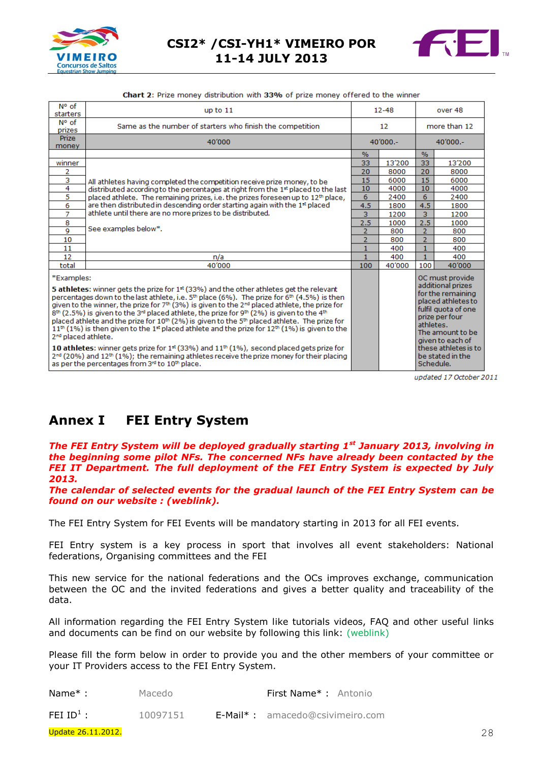



|  |  | <b>Chart 2:</b> Prize money distribution with 33% of prize money offered to the winner |
|--|--|----------------------------------------------------------------------------------------|
|--|--|----------------------------------------------------------------------------------------|

| N° of<br>starters                                                                                                                                                                                                                                                                                                                                                                                                                                                                                                                                                                                                                                                                                                                                                                                                                                 | up to 11                                                                                     | $12 - 48$      |        | over 48              |                                        |
|---------------------------------------------------------------------------------------------------------------------------------------------------------------------------------------------------------------------------------------------------------------------------------------------------------------------------------------------------------------------------------------------------------------------------------------------------------------------------------------------------------------------------------------------------------------------------------------------------------------------------------------------------------------------------------------------------------------------------------------------------------------------------------------------------------------------------------------------------|----------------------------------------------------------------------------------------------|----------------|--------|----------------------|----------------------------------------|
| N° of<br>prizes                                                                                                                                                                                                                                                                                                                                                                                                                                                                                                                                                                                                                                                                                                                                                                                                                                   | Same as the number of starters who finish the competition                                    |                |        | more than 12         |                                        |
| <b>Prize</b><br>money                                                                                                                                                                                                                                                                                                                                                                                                                                                                                                                                                                                                                                                                                                                                                                                                                             | 40'000                                                                                       | 40'000 .-      |        | 40'000 .-            |                                        |
|                                                                                                                                                                                                                                                                                                                                                                                                                                                                                                                                                                                                                                                                                                                                                                                                                                                   |                                                                                              | $\%$           |        | $\%$                 |                                        |
| winner                                                                                                                                                                                                                                                                                                                                                                                                                                                                                                                                                                                                                                                                                                                                                                                                                                            |                                                                                              | 33             | 13'200 | 33                   | 13'200                                 |
| 2                                                                                                                                                                                                                                                                                                                                                                                                                                                                                                                                                                                                                                                                                                                                                                                                                                                 |                                                                                              | 20             | 8000   | 20                   | 8000                                   |
| $\overline{\mathbf{3}}$                                                                                                                                                                                                                                                                                                                                                                                                                                                                                                                                                                                                                                                                                                                                                                                                                           | All athletes having completed the competition receive prize money, to be                     | 15             | 6000   | 15                   | 6000                                   |
| $\overline{4}$                                                                                                                                                                                                                                                                                                                                                                                                                                                                                                                                                                                                                                                                                                                                                                                                                                    | distributed according to the percentages at right from the 1st placed to the last            | 10             | 4000   | 10                   | 4000                                   |
| 5                                                                                                                                                                                                                                                                                                                                                                                                                                                                                                                                                                                                                                                                                                                                                                                                                                                 | placed athlete. The remaining prizes, i.e. the prizes foreseen up to 12 <sup>th</sup> place, | 6              | 2400   | 6                    | 2400                                   |
| 6                                                                                                                                                                                                                                                                                                                                                                                                                                                                                                                                                                                                                                                                                                                                                                                                                                                 | are then distributed in descending order starting again with the 1st placed                  | 4.5            | 1800   | 4.5                  | 1800                                   |
| 7                                                                                                                                                                                                                                                                                                                                                                                                                                                                                                                                                                                                                                                                                                                                                                                                                                                 | athlete until there are no more prizes to be distributed.                                    | 3              | 1200   | 3                    | 1200                                   |
| 8                                                                                                                                                                                                                                                                                                                                                                                                                                                                                                                                                                                                                                                                                                                                                                                                                                                 |                                                                                              | 2.5            | 1000   | 2.5                  | 1000                                   |
| $\overline{9}$                                                                                                                                                                                                                                                                                                                                                                                                                                                                                                                                                                                                                                                                                                                                                                                                                                    | See examples below*.                                                                         | $\overline{2}$ | 800    | $\overline{2}$       | 800                                    |
| 10                                                                                                                                                                                                                                                                                                                                                                                                                                                                                                                                                                                                                                                                                                                                                                                                                                                |                                                                                              | $\overline{2}$ | 800    | $\overline{2}$       | 800                                    |
| 11                                                                                                                                                                                                                                                                                                                                                                                                                                                                                                                                                                                                                                                                                                                                                                                                                                                |                                                                                              | $\mathbf{1}$   | 400    | $\mathbf{1}$         | 400                                    |
| 12                                                                                                                                                                                                                                                                                                                                                                                                                                                                                                                                                                                                                                                                                                                                                                                                                                                | n/a                                                                                          | $\mathbf{1}$   | 400    | $\mathbf{1}$         | 400                                    |
| total                                                                                                                                                                                                                                                                                                                                                                                                                                                                                                                                                                                                                                                                                                                                                                                                                                             | 40'000                                                                                       | 100            | 40'000 | 100                  | 40'000                                 |
| *Examples:                                                                                                                                                                                                                                                                                                                                                                                                                                                                                                                                                                                                                                                                                                                                                                                                                                        |                                                                                              |                |        |                      | OC must provide<br>additional prizes   |
| 5 athletes: winner gets the prize for 1 <sup>st</sup> (33%) and the other athletes get the relevant<br>for the remaining<br>percentages down to the last athlete, i.e. 5 <sup>th</sup> place (6%). The prize for 6 <sup>th</sup> (4.5%) is then<br>given to the winner, the prize for 7 <sup>th</sup> (3%) is given to the 2 <sup>nd</sup> placed athlete, the prize for<br>fulfil quota of one<br>8th (2.5%) is given to the 3 <sup>rd</sup> placed athlete, the prize for 9th (2%) is given to the 4th<br>prize per four<br>placed athlete and the prize for 10 <sup>th</sup> (2%) is given to the 5 <sup>th</sup> placed athlete. The prize for<br>athletes.<br>$11th$ (1%) is then given to the 1 <sup>st</sup> placed athlete and the prize for 12 <sup>th</sup> (1%) is given to the<br>2 <sup>nd</sup> placed athlete.<br>given to each of |                                                                                              |                |        |                      | placed athletes to<br>The amount to be |
| 10 athletes: winner gets prize for $1^{st}$ (33%) and $11^{th}$ (1%), second placed gets prize for<br>$2^{nd}$ (20%) and 12 <sup>th</sup> (1%); the remaining athletes receive the prize money for their placing<br>be stated in the<br>as per the percentages from 3 <sup>rd</sup> to 10 <sup>th</sup> place.<br>Schedule.                                                                                                                                                                                                                                                                                                                                                                                                                                                                                                                       |                                                                                              |                |        | these athletes is to |                                        |

updated 17 October 2011

# **Annex I FEI Entry System**

*The FEI Entry System will be deployed gradually starting 1st January 2013, involving in the beginning some pilot NFs. The concerned NFs have already been contacted by the FEI IT Department. The full deployment of the FEI Entry System is expected by July 2013.*

*The calendar of selected events for the gradual launch of the FEI Entry System can be found on our website : (weblink).*

The FEI Entry System for FEI Events will be mandatory starting in 2013 for all FEI events.

FEI Entry system is a key process in sport that involves all event stakeholders: National federations, Organising committees and the FEI

This new service for the national federations and the OCs improves exchange, communication between the OC and the invited federations and gives a better quality and traceability of the data.

All information regarding the FEI Entry System like tutorials videos, FAQ and other useful links and documents can be find on our website by following this link: (weblink)

Please fill the form below in order to provide you and the other members of your committee or your IT Providers access to the FEI Entry System.

**Name\*:** Macedo **First Name\*:** Antonio

<span id="page-27-0"></span>FEI  $ID^1$ : : 10097151 E-Mail\* : amacedo@csivimeiro.com

Update 26.11.2012. 28